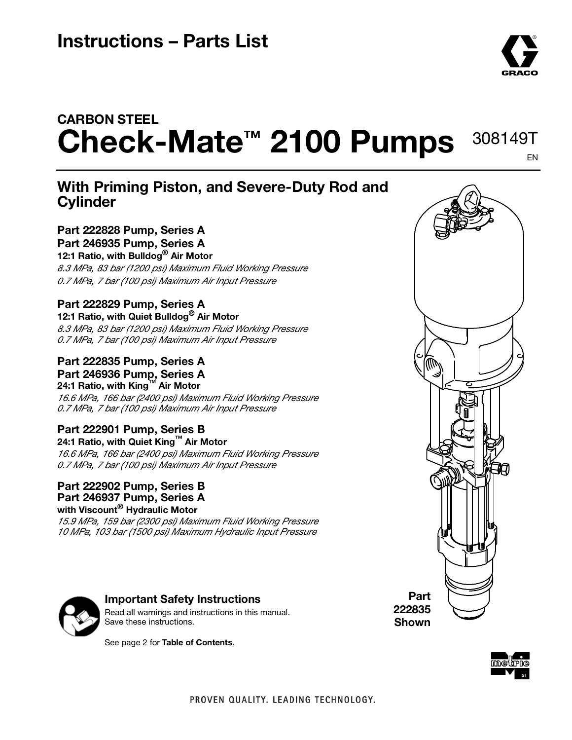#### 308149T EN **CARBON STEEL Check-Mate™ 2100 Pumps**

### **With Priming Piston, and Severe-Duty Rod and Cylinder**

**Part 222828 Pump, Series A**

**Part 246935 Pump, Series A**

**12:1 Ratio, with Bulldog® Air Motor**

8.3 MPa, 83 bar (1200 psi) Maximum Fluid Working Pressure 0.7 MPa, 7 bar (100 psi) Maximum Air Input Pressure

### **Part 222829 Pump, Series A**

**12:1 Ratio, with Quiet Bulldog® Air Motor** 8.3 MPa, 83 bar (1200 psi) Maximum Fluid Working Pressure

0.7 MPa, 7 bar (100 psi) Maximum Air Input Pressure

#### **Part 222835 Pump, Series A Part 246936 Pump, Series A 24:1 Ratio, with King™ Air Motor**

16.6 MPa, 166 bar (2400 psi) Maximum Fluid Working Pressure 0.7 MPa, 7 bar (100 psi) Maximum Air Input Pressure

#### **Part 222901 Pump, Series B 24:1 Ratio, with Quiet King™ Air Motor**

16.6 MPa, 166 bar (2400 psi) Maximum Fluid Working Pressure 0.7 MPa, 7 bar (100 psi) Maximum Air Input Pressure

### **Part 222902 Pump, Series B Part 246937 Pump, Series A**

**with Viscount® Hydraulic Motor**

15.9 MPa, 159 bar (2300 psi) Maximum Fluid Working Pressure 10 MPa, 103 bar (1500 psi) Maximum Hydraulic Input Pressure



#### **Important Safety Instructions**

Read all warnings and instructions in this manual. Save these instructions.

See page [2](#page-1-0) for **[Table of Contents](#page-1-0)**.





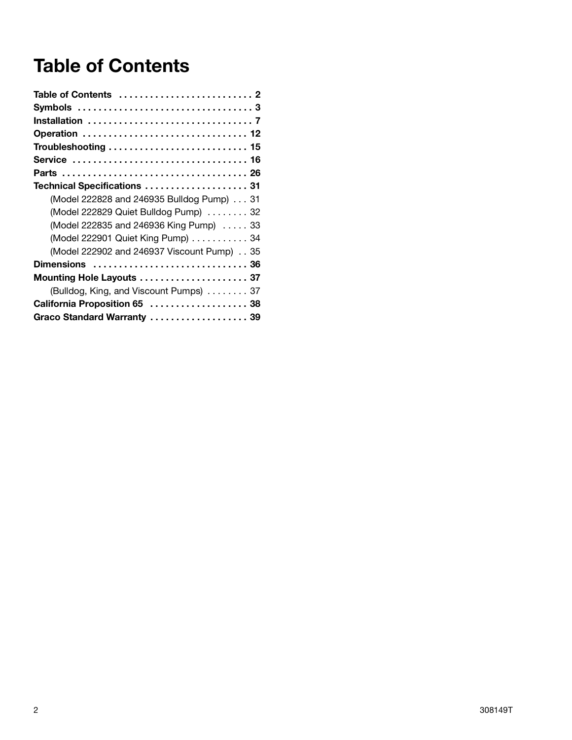# <span id="page-1-0"></span>**Table of Contents**

| Operation  12                              |
|--------------------------------------------|
| Troubleshooting  15                        |
| Service  16                                |
|                                            |
| Technical Specifications  31               |
| (Model 222828 and 246935 Bulldog Pump) 31  |
| (Model 222829 Quiet Bulldog Pump) 32       |
| (Model 222835 and 246936 King Pump) 33     |
| (Model 222901 Quiet King Pump) 34          |
| (Model 222902 and 246937 Viscount Pump) 35 |
| Dimensions  36                             |
| Mounting Hole Layouts  37                  |
| (Bulldog, King, and Viscount Pumps) 37     |
| California Proposition 65  38              |
| Graco Standard Warranty  39                |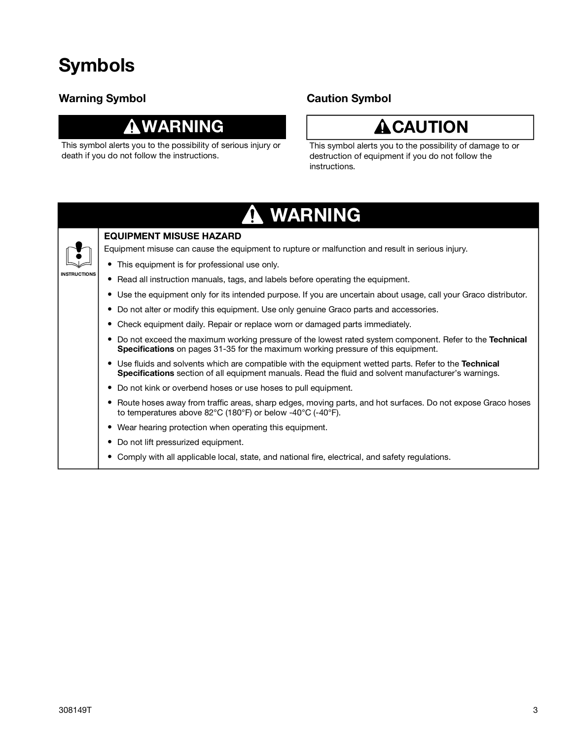# <span id="page-2-0"></span>**Symbols**

### **Warning Symbol Caution Symbol**

### **WARNING**

This symbol alerts you to the possibility of serious injury or death if you do not follow the instructions.

### **ACAUTION**

This symbol alerts you to the possibility of damage to or destruction of equipment if you do not follow the instructions.

# **WARNING**



#### **EQUIPMENT MISUSE HAZARD**

Equipment misuse can cause the equipment to rupture or malfunction and result in serious injury.

- This equipment is for professional use only.
- Read all instruction manuals, tags, and labels before operating the equipment.
- Use the equipment only for its intended purpose. If you are uncertain about usage, call your Graco distributor.
- Do not alter or modify this equipment. Use only genuine Graco parts and accessories.
- Check equipment daily. Repair or replace worn or damaged parts immediately.
- Do not exceed the maximum working pressure of the lowest rated system component. Refer to the **[Technical](#page-30-0)  [Specifications](#page-30-0)** on pages [31](#page-30-0)[-35](#page-34-1) for the maximum working pressure of this equipment.
- Use fluids and solvents which are compatible with the equipment wetted parts. Refer to the **[Technical](#page-30-0)  [Specifications](#page-30-0)** section of all equipment manuals. Read the fluid and solvent manufacturer's warnings.
- Do not kink or overbend hoses or use hoses to pull equipment.
- Route hoses away from traffic areas, sharp edges, moving parts, and hot surfaces. Do not expose Graco hoses to temperatures above 82°C (180°F) or below -40°C (-40°F).
- Wear hearing protection when operating this equipment.
- Do not lift pressurized equipment.
- Comply with all applicable local, state, and national fire, electrical, and safety regulations.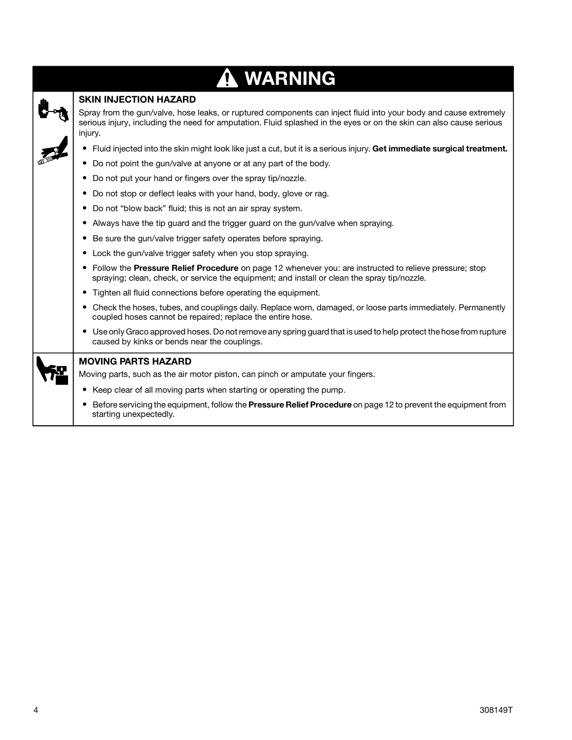| A WARNING                                                                                                                                                                                                                                          |
|----------------------------------------------------------------------------------------------------------------------------------------------------------------------------------------------------------------------------------------------------|
| <b>SKIN INJECTION HAZARD</b>                                                                                                                                                                                                                       |
| Spray from the gun/valve, hose leaks, or ruptured components can inject fluid into your body and cause extremely<br>serious injury, including the need for amputation. Fluid splashed in the eyes or on the skin can also cause serious<br>injury. |
| • Fluid injected into the skin might look like just a cut, but it is a serious injury. Get immediate surgical treatment.                                                                                                                           |
| Do not point the gun/valve at anyone or at any part of the body.<br>$\bullet$                                                                                                                                                                      |
| Do not put your hand or fingers over the spray tip/nozzle.                                                                                                                                                                                         |
| Do not stop or deflect leaks with your hand, body, glove or rag.<br>$\bullet$                                                                                                                                                                      |
| Do not "blow back" fluid; this is not an air spray system.<br>$\bullet$                                                                                                                                                                            |
| Always have the tip guard and the trigger guard on the gun/valve when spraying.<br>$\bullet$                                                                                                                                                       |
| Be sure the gun/valve trigger safety operates before spraying.                                                                                                                                                                                     |
| Lock the gun/valve trigger safety when you stop spraying.                                                                                                                                                                                          |
| Follow the Pressure Relief Procedure on page 12 whenever you: are instructed to relieve pressure; stop<br>$\bullet$<br>spraying; clean, check, or service the equipment; and install or clean the spray tip/nozzle.                                |
| Tighten all fluid connections before operating the equipment.<br>$\bullet$                                                                                                                                                                         |
| Check the hoses, tubes, and couplings daily. Replace worn, damaged, or loose parts immediately. Permanently<br>$\bullet$<br>coupled hoses cannot be repaired; replace the entire hose.                                                             |
| • Use only Graco approved hoses. Do not remove any spring guard that is used to help protect the hose from rupture<br>caused by kinks or bends near the couplings.                                                                                 |
| <b>MOVING PARTS HAZARD</b>                                                                                                                                                                                                                         |
| Moving parts, such as the air motor piston, can pinch or amputate your fingers.                                                                                                                                                                    |
| • Keep clear of all moving parts when starting or operating the pump.                                                                                                                                                                              |
| Before servicing the equipment, follow the <b>Pressure Relief Procedure</b> on page 12 to prevent the equipment from<br>starting unexpectedly.                                                                                                     |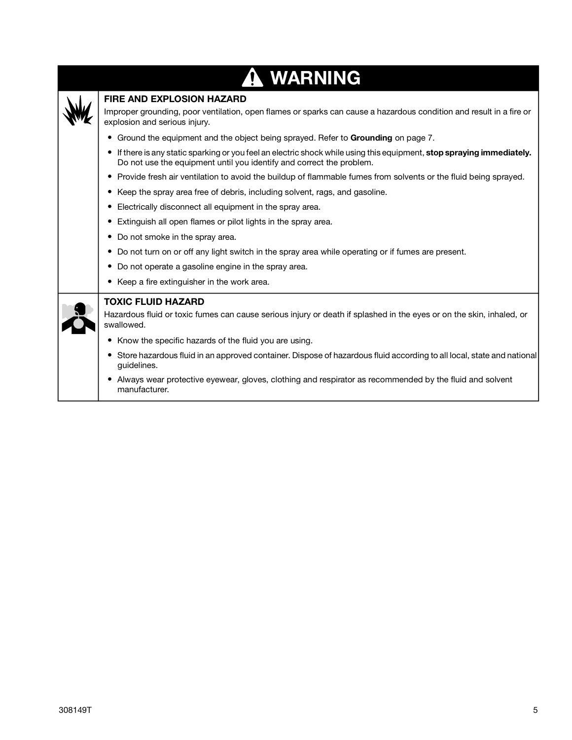<span id="page-4-0"></span>

| A WARNING                                                                                                                                                                                    |
|----------------------------------------------------------------------------------------------------------------------------------------------------------------------------------------------|
| <b>FIRE AND EXPLOSION HAZARD</b>                                                                                                                                                             |
| Improper grounding, poor ventilation, open flames or sparks can cause a hazardous condition and result in a fire or<br>explosion and serious injury.                                         |
| Ground the equipment and the object being sprayed. Refer to Grounding on page 7.                                                                                                             |
| If there is any static sparking or you feel an electric shock while using this equipment, stop spraying immediately.<br>Do not use the equipment until you identify and correct the problem. |
| Provide fresh air ventilation to avoid the buildup of flammable fumes from solvents or the fluid being sprayed.                                                                              |
| Keep the spray area free of debris, including solvent, rags, and gasoline.                                                                                                                   |
| Electrically disconnect all equipment in the spray area.                                                                                                                                     |
| Extinguish all open flames or pilot lights in the spray area.                                                                                                                                |
| Do not smoke in the spray area.                                                                                                                                                              |
| Do not turn on or off any light switch in the spray area while operating or if fumes are present.                                                                                            |
| Do not operate a gasoline engine in the spray area.                                                                                                                                          |
| • Keep a fire extinguisher in the work area.                                                                                                                                                 |
| <b>TOXIC FLUID HAZARD</b>                                                                                                                                                                    |
| Hazardous fluid or toxic fumes can cause serious injury or death if splashed in the eyes or on the skin, inhaled, or<br>swallowed.                                                           |
| Know the specific hazards of the fluid you are using.                                                                                                                                        |
| • Store hazardous fluid in an approved container. Dispose of hazardous fluid according to all local, state and national<br>quidelines.                                                       |
| Always wear protective eyewear, gloves, clothing and respirator as recommended by the fluid and solvent<br>manufacturer.                                                                     |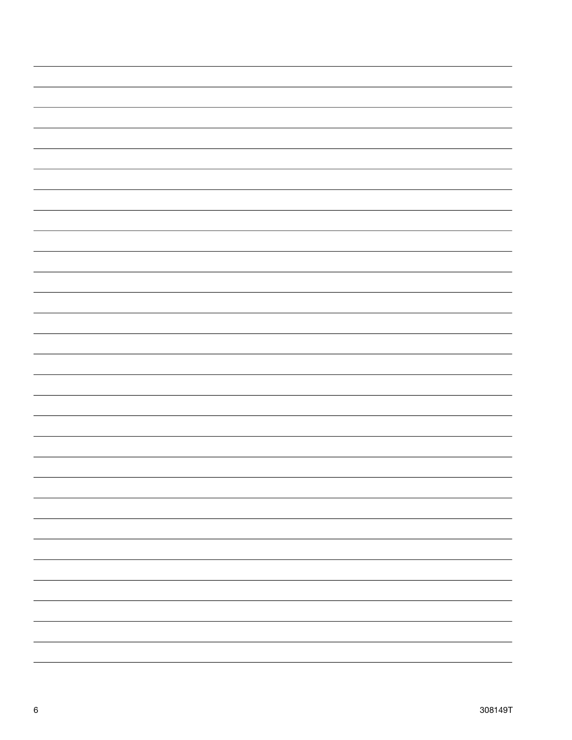| Ξ, |
|----|
|    |
|    |
|    |
|    |
|    |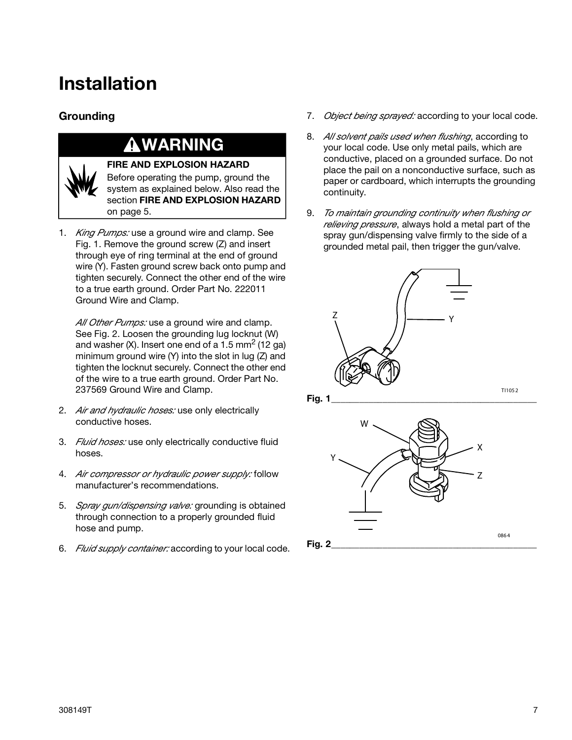# <span id="page-6-0"></span>**Installation**

#### <span id="page-6-1"></span>**Grounding**

### **WARNING**



**FIRE AND EXPLOSION HAZARD** 

Before operating the pump, ground the system as explained below. Also read the section **[FIRE AND EXPLOSION HAZARD](#page-4-0)** on page [5](#page-4-0).

1. King Pumps: use a ground wire and clamp. See [Fig. 1.](#page-6-2) Remove the ground screw (Z) and insert through eye of ring terminal at the end of ground wire (Y). Fasten ground screw back onto pump and tighten securely. Connect the other end of the wire to a true earth ground. Order Part No. 222011 Ground Wire and Clamp.

All Other Pumps: use a ground wire and clamp. See [Fig. 2.](#page-6-3) Loosen the grounding lug locknut (W) and washer (X). Insert one end of a 1.5 mm<sup>2</sup> (12 ga) minimum ground wire (Y) into the slot in lug (Z) and tighten the locknut securely. Connect the other end of the wire to a true earth ground. Order Part No. 237569 Ground Wire and Clamp.

- 2. Air and hydraulic hoses: use only electrically conductive hoses.
- 3. Fluid hoses: use only electrically conductive fluid hoses.
- 4. Air compressor or hydraulic power supply: follow manufacturer's recommendations.
- 5. Spray gun/dispensing valve: grounding is obtained through connection to a properly grounded fluid hose and pump.
- 6. Fluid supply container: according to your local code.
- 7. Object being sprayed: according to your local code.
- 8. All solvent pails used when flushing, according to your local code. Use only metal pails, which are conductive, placed on a grounded surface. Do not place the pail on a nonconductive surface, such as paper or cardboard, which interrupts the grounding continuity.
- 9. To maintain grounding continuity when flushing or relieving pressure, always hold a metal part of the spray gun/dispensing valve firmly to the side of a grounded metal pail, then trigger the gun/valve.



<span id="page-6-2"></span>

<span id="page-6-3"></span>

TI105 2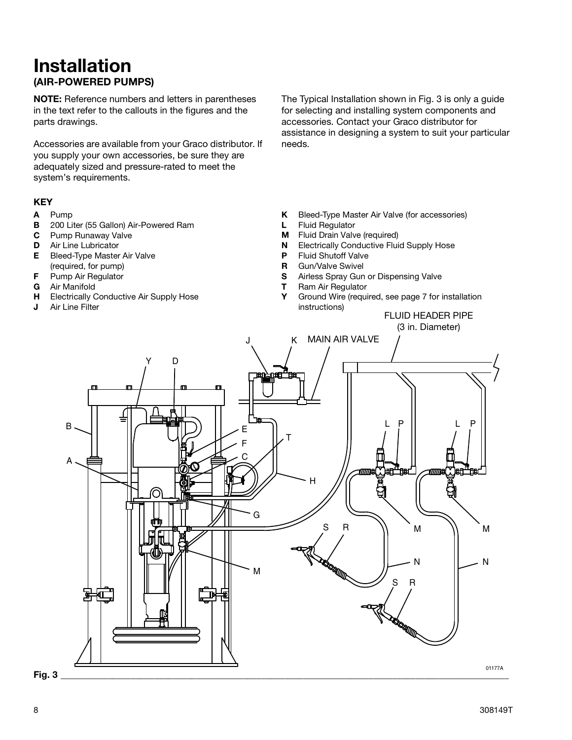### **Installation (AIR-POWERED PUMPS)**

**NOTE:** Reference numbers and letters in parentheses in the text refer to the callouts in the figures and the parts drawings.

Accessories are available from your Graco distributor. If you supply your own accessories, be sure they are adequately sized and pressure-rated to meet the system's requirements.

#### **KEY**

- **A** Pump
- **B** 200 Liter (55 Gallon) Air-Powered Ram
- **C** Pump Runaway Valve
- **D** Air Line Lubricator
- **E** Bleed-Type Master Air Valve (required, for pump)
- **F** Pump Air Regulator
- **G** Air Manifold
- **H** Electrically Conductive Air Supply Hose
- **J** Air Line Filter

The Typical Installation shown in [Fig. 3](#page-7-0) is only a guide for selecting and installing system components and accessories. Contact your Graco distributor for assistance in designing a system to suit your particular needs.

- **K** Bleed-Type Master Air Valve (for accessories)
- **L** Fluid Regulator
- **M** Fluid Drain Valve (required)
- **N** Electrically Conductive Fluid Supply Hose
- **P** Fluid Shutoff Valve
- **R** Gun/Valve Swivel
- **S** Airless Spray Gun or Dispensing Valve
- **T** Ram Air Regulator
- **Y** Ground Wire (required, see page [7](#page-6-1) for installation instructions) FLUID HEADER PIPE



<span id="page-7-0"></span>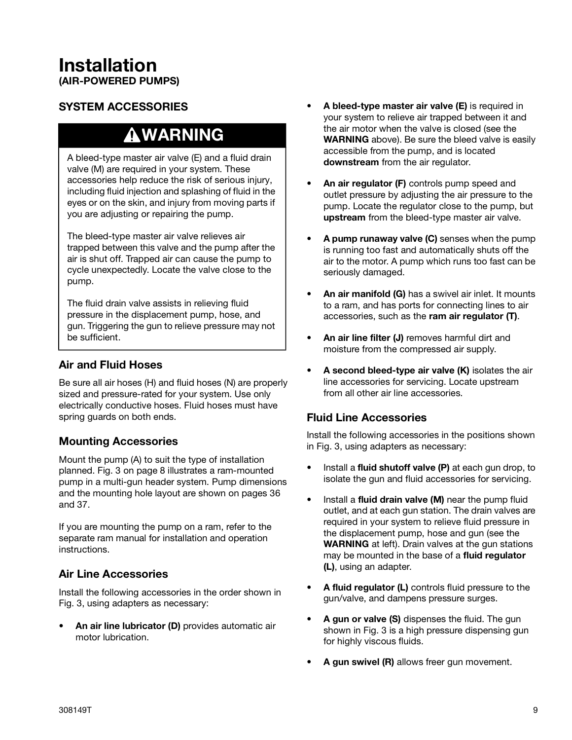### **Installation (AIR-POWERED PUMPS)**

### **SYSTEM ACCESSORIES**

### **WARNING**

A bleed-type master air valve (E) and a fluid drain valve (M) are required in your system. These accessories help reduce the risk of serious injury, including fluid injection and splashing of fluid in the eyes or on the skin, and injury from moving parts if you are adjusting or repairing the pump.

The bleed-type master air valve relieves air trapped between this valve and the pump after the air is shut off. Trapped air can cause the pump to cycle unexpectedly. Locate the valve close to the pump.

The fluid drain valve assists in relieving fluid pressure in the displacement pump, hose, and gun. Triggering the gun to relieve pressure may not be sufficient.

### **Air and Fluid Hoses**

Be sure all air hoses (H) and fluid hoses (N) are properly sized and pressure-rated for your system. Use only electrically conductive hoses. Fluid hoses must have spring guards on both ends.

#### **Mounting Accessories**

Mount the pump (A) to suit the type of installation planned. [Fig. 3](#page-7-0) on page [8](#page-7-0) illustrates a ram-mounted pump in a multi-gun header system. Pump dimensions and the mounting hole layout are shown on pages [36](#page-35-0)  and [37.](#page-36-0)

If you are mounting the pump on a ram, refer to the separate ram manual for installation and operation instructions.

#### **Air Line Accessories**

Install the following accessories in the order shown in [Fig. 3,](#page-7-0) using adapters as necessary:

• **An air line lubricator (D)** provides automatic air motor lubrication.

- **A bleed-type master air valve (E)** is required in your system to relieve air trapped between it and the air motor when the valve is closed (see the **WARNING** above). Be sure the bleed valve is easily accessible from the pump, and is located **downstream** from the air regulator.
- **An air regulator (F)** controls pump speed and outlet pressure by adjusting the air pressure to the pump. Locate the regulator close to the pump, but **upstream** from the bleed-type master air valve.
- **A pump runaway valve (C)** senses when the pump is running too fast and automatically shuts off the air to the motor. A pump which runs too fast can be seriously damaged.
- **An air manifold (G)** has a swivel air inlet. It mounts to a ram, and has ports for connecting lines to air accessories, such as the **ram air regulator (T)**.
- **An air line filter (J)** removes harmful dirt and moisture from the compressed air supply.
- **A second bleed-type air valve (K)** isolates the air line accessories for servicing. Locate upstream from all other air line accessories.

#### **Fluid Line Accessories**

Install the following accessories in the positions shown in [Fig. 3,](#page-7-0) using adapters as necessary:

- Install a **fluid shutoff valve (P)** at each gun drop, to isolate the gun and fluid accessories for servicing.
- Install a **fluid drain valve (M)** near the pump fluid outlet, and at each gun station. The drain valves are required in your system to relieve fluid pressure in the displacement pump, hose and gun (see the **WARNING** at left). Drain valves at the gun stations may be mounted in the base of a **fluid regulator (L)**, using an adapter.
- **A fluid regulator (L)** controls fluid pressure to the gun/valve, and dampens pressure surges.
- **A gun or valve (S)** dispenses the fluid. The gun shown in [Fig. 3](#page-7-0) is a high pressure dispensing gun for highly viscous fluids.
- **A gun swivel (R)** allows freer gun movement.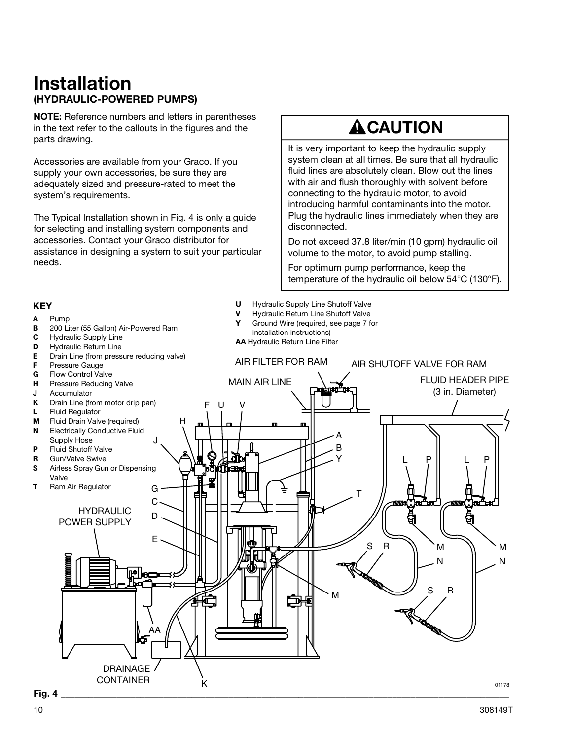### **Installation (HYDRAULIC-POWERED PUMPS)**

**NOTE:** Reference numbers and letters in parentheses in the text refer to the callouts in the figures and the parts drawing.

Accessories are available from your Graco. If you supply your own accessories, be sure they are adequately sized and pressure-rated to meet the system's requirements.

The Typical Installation shown in [Fig. 4](#page-9-0) is only a guide for selecting and installing system components and accessories. Contact your Graco distributor for assistance in designing a system to suit your particular needs.

# **ACAUTION**

It is very important to keep the hydraulic supply system clean at all times. Be sure that all hydraulic fluid lines are absolutely clean. Blow out the lines with air and flush thoroughly with solvent before connecting to the hydraulic motor, to avoid introducing harmful contaminants into the motor. Plug the hydraulic lines immediately when they are disconnected.

Do not exceed 37.8 liter/min (10 gpm) hydraulic oil volume to the motor, to avoid pump stalling.

For optimum pump performance, keep the temperature of the hydraulic oil below 54°C (130°F).

**Fig. 4 \_\_\_\_\_\_\_\_\_\_\_\_\_\_\_\_\_\_\_\_\_\_\_\_\_\_\_\_\_\_\_\_\_\_\_\_\_\_\_\_\_\_\_\_\_\_\_\_\_\_\_\_\_\_\_\_\_\_\_\_\_\_\_\_\_\_\_\_\_\_\_\_\_\_\_\_\_\_\_\_\_\_\_\_\_\_\_\_\_\_\_\_\_\_\_\_** 01178 B D E F G H J K M N Y L P R S T  $\cup$  $\overline{C}$ V AA A L M M P S N R AIR SHUTOFF VALVE FOR RAM FLUID HEADER PIPE (3 in. Diameter) AIR FILTER FOR RAM MAIN AIR LINE HYDRAULIC POWER SUPPLY DRAINAGE **CONTAINER V** Hydraulic Return Line Shutoff Valve **Y** Ground Wire (required, see page [7](#page-6-1) for installation instructions) **AA** Hydraulic Return Line Filter **A** Pump **B** 200 Liter (55 Gallon) Air-Powered Ram **C** Hydraulic Supply Line<br>**D** Hydraulic Return Line **Hydraulic Return Line E** Drain Line (from pressure reducing valve) **H** Pressure Reducing Valve **K** Drain Line (from motor drip pan) **L** Fluid Regulator **M** Fluid Drain Valve (required) **N** Electrically Conductive Fluid Supply Hose **P** Fluid Shutoff Valve **R** Gun/Valve Swivel **S** Airless Spray Gun or Dispensing Valve **T** Ram Air Regulator

**U** Hydraulic Supply Line Shutoff Valve

- 
- 
- 
- 
- **F** Pressure Gauge
- **G** Flow Control Valve
- 
- **J** Accumulator
- 
- 
- 
- 
- 
- <span id="page-9-0"></span>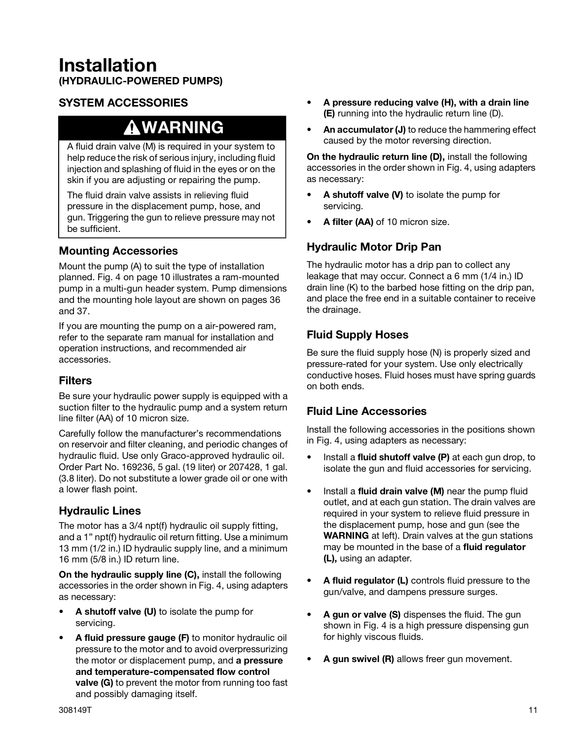### **Installation (HYDRAULIC-POWERED PUMPS)**

### **SYSTEM ACCESSORIES**

### **WARNING**

A fluid drain valve (M) is required in your system to help reduce the risk of serious injury, including fluid injection and splashing of fluid in the eyes or on the skin if you are adjusting or repairing the pump.

The fluid drain valve assists in relieving fluid pressure in the displacement pump, hose, and gun. Triggering the gun to relieve pressure may not be sufficient.

#### **Mounting Accessories**

Mount the pump (A) to suit the type of installation planned. [Fig. 4](#page-9-0) on page [10](#page-9-0) illustrates a ram-mounted pump in a multi-gun header system. Pump dimensions and the mounting hole layout are shown on pages [36](#page-35-0)  and [37.](#page-36-0)

If you are mounting the pump on a air-powered ram, refer to the separate ram manual for installation and operation instructions, and recommended air accessories.

#### **Filters**

Be sure your hydraulic power supply is equipped with a suction filter to the hydraulic pump and a system return line filter (AA) of 10 micron size.

Carefully follow the manufacturer's recommendations on reservoir and filter cleaning, and periodic changes of hydraulic fluid. Use only Graco-approved hydraulic oil. Order Part No. 169236, 5 gal. (19 liter) or 207428, 1 gal. (3.8 liter). Do not substitute a lower grade oil or one with a lower flash point.

#### **Hydraulic Lines**

The motor has a 3/4 npt(f) hydraulic oil supply fitting, and a 1" npt(f) hydraulic oil return fitting. Use a minimum 13 mm (1/2 in.) ID hydraulic supply line, and a minimum 16 mm (5/8 in.) ID return line.

**On the hydraulic supply line (C),** install the following accessories in the order shown in [Fig. 4](#page-9-0), using adapters as necessary:

- **A shutoff valve (U)** to isolate the pump for servicing.
- **A fluid pressure gauge (F)** to monitor hydraulic oil pressure to the motor and to avoid overpressurizing the motor or displacement pump, and **a pressure and temperature-compensated flow control valve (G)** to prevent the motor from running too fast and possibly damaging itself.
- **A pressure reducing valve (H), with a drain line (E)** running into the hydraulic return line (D).
- **An accumulator (J)** to reduce the hammering effect caused by the motor reversing direction.

**On the hydraulic return line (D),** install the following accessories in the order shown in [Fig. 4,](#page-9-0) using adapters as necessary:

- **A shutoff valve (V)** to isolate the pump for servicing.
- **A filter (AA)** of 10 micron size.

#### **Hydraulic Motor Drip Pan**

The hydraulic motor has a drip pan to collect any leakage that may occur. Connect a 6 mm (1/4 in.) ID drain line (K) to the barbed hose fitting on the drip pan, and place the free end in a suitable container to receive the drainage.

#### **Fluid Supply Hoses**

Be sure the fluid supply hose (N) is properly sized and pressure-rated for your system. Use only electrically conductive hoses. Fluid hoses must have spring guards on both ends.

#### **Fluid Line Accessories**

Install the following accessories in the positions shown in [Fig. 4,](#page-9-0) using adapters as necessary:

- Install a **fluid shutoff valve (P)** at each gun drop, to isolate the gun and fluid accessories for servicing.
- Install a **fluid drain valve (M)** near the pump fluid outlet, and at each gun station. The drain valves are required in your system to relieve fluid pressure in the displacement pump, hose and gun (see the **WARNING** at left). Drain valves at the gun stations may be mounted in the base of a **fluid regulator (L),** using an adapter.
- **A fluid regulator (L)** controls fluid pressure to the gun/valve, and dampens pressure surges.
- **A gun or valve (S)** dispenses the fluid. The gun shown in [Fig. 4](#page-9-0) is a high pressure dispensing gun for highly viscous fluids.
- **A gun swivel (R)** allows freer gun movement.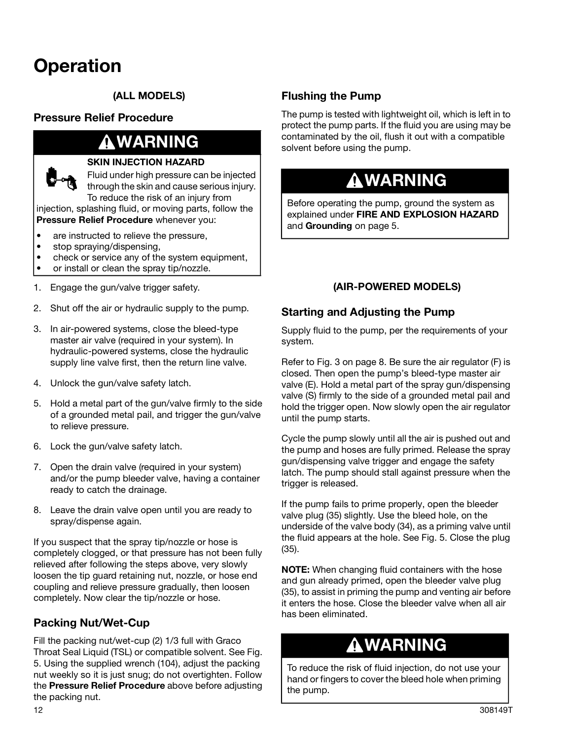# <span id="page-11-0"></span>**Operation**

#### **(ALL MODELS)**

<span id="page-11-1"></span>**Pressure Relief Procedure**

### **WARNING**

**SKIN INJECTION HAZARD**

Fluid under high pressure can be injected through the skin and cause serious injury. To reduce the risk of an injury from injection, splashing fluid, or moving parts, follow the

**[Pressure Relief Procedure](#page-11-1)** whenever you:

- are instructed to relieve the pressure,
- stop spraying/dispensing,
- check or service any of the system equipment,
- or install or clean the spray tip/nozzle.
- 1. Engage the gun/valve trigger safety.
- 2. Shut off the air or hydraulic supply to the pump.
- 3. In air-powered systems, close the bleed-type master air valve (required in your system). In hydraulic-powered systems, close the hydraulic supply line valve first, then the return line valve.
- 4. Unlock the gun/valve safety latch.
- 5. Hold a metal part of the gun/valve firmly to the side of a grounded metal pail, and trigger the gun/valve to relieve pressure.
- 6. Lock the gun/valve safety latch.
- 7. Open the drain valve (required in your system) and/or the pump bleeder valve, having a container ready to catch the drainage.
- 8. Leave the drain valve open until you are ready to spray/dispense again.

If you suspect that the spray tip/nozzle or hose is completely clogged, or that pressure has not been fully relieved after following the steps above, very slowly loosen the tip guard retaining nut, nozzle, or hose end coupling and relieve pressure gradually, then loosen completely. Now clear the tip/nozzle or hose.

### **Packing Nut/Wet-Cup**

Fill the packing nut/wet-cup (2) 1/3 full with Graco Throat Seal Liquid (TSL) or compatible solvent. See [Fig.](#page-12-0)  [5.](#page-12-0) Using the supplied wrench (104), adjust the packing nut weekly so it is just snug; do not overtighten. Follow the **[Pressure Relief Procedure](#page-11-1)** above before adjusting the packing nut.

### **Flushing the Pump**

The pump is tested with lightweight oil, which is left in to protect the pump parts. If the fluid you are using may be contaminated by the oil, flush it out with a compatible solvent before using the pump.

# **WARNING**

Before operating the pump, ground the system as explained under **[FIRE AND EXPLOSION HAZARD](#page-4-0)** and **[Grounding](#page-6-1)** on page [5.](#page-4-0)

#### **(AIR-POWERED MODELS)**

#### **Starting and Adjusting the Pump**

Supply fluid to the pump, per the requirements of your system.

Refer to [Fig. 3](#page-7-0) on page [8](#page-7-0). Be sure the air regulator (F) is closed. Then open the pump's bleed-type master air valve (E). Hold a metal part of the spray gun/dispensing valve (S) firmly to the side of a grounded metal pail and hold the trigger open. Now slowly open the air regulator until the pump starts.

Cycle the pump slowly until all the air is pushed out and the pump and hoses are fully primed. Release the spray gun/dispensing valve trigger and engage the safety latch. The pump should stall against pressure when the trigger is released.

If the pump fails to prime properly, open the bleeder valve plug (35) slightly. Use the bleed hole, on the underside of the valve body (34), as a priming valve until the fluid appears at the hole. See [Fig. 5](#page-12-0). Close the plug (35).

**NOTE:** When changing fluid containers with the hose and gun already primed, open the bleeder valve plug (35), to assist in priming the pump and venting air before it enters the hose. Close the bleeder valve when all air has been eliminated.

# **WARNING**

To reduce the risk of fluid injection, do not use your hand or fingers to cover the bleed hole when priming the pump.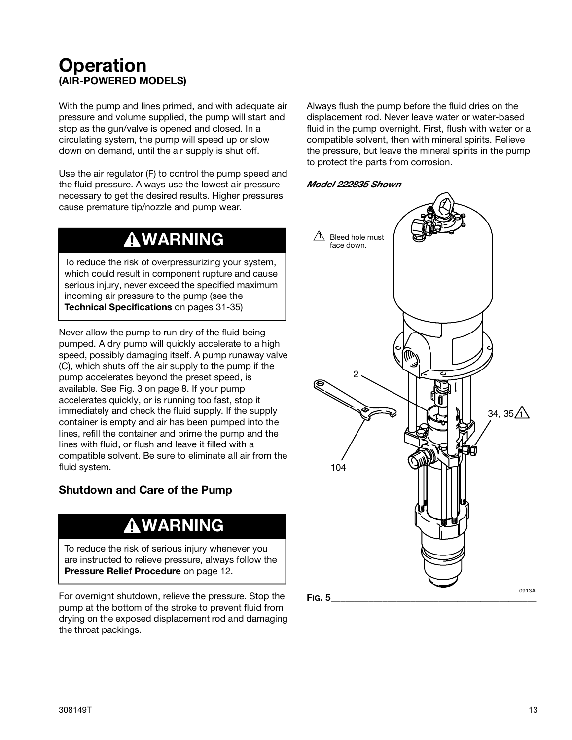### **Operation (AIR-POWERED MODELS)**

With the pump and lines primed, and with adequate air pressure and volume supplied, the pump will start and stop as the gun/valve is opened and closed. In a circulating system, the pump will speed up or slow down on demand, until the air supply is shut off.

Use the air regulator (F) to control the pump speed and the fluid pressure. Always use the lowest air pressure necessary to get the desired results. Higher pressures cause premature tip/nozzle and pump wear.

### **WARNING**

To reduce the risk of overpressurizing your system, which could result in component rupture and cause serious injury, never exceed the specified maximum incoming air pressure to the pump (see the **[Technical Specifications](#page-30-0)** on pages [31](#page-30-0)[-35\)](#page-34-1)

Never allow the pump to run dry of the fluid being pumped. A dry pump will quickly accelerate to a high speed, possibly damaging itself. A pump runaway valve (C), which shuts off the air supply to the pump if the pump accelerates beyond the preset speed, is available. See [Fig. 3](#page-7-0) on page [8.](#page-7-0) If your pump accelerates quickly, or is running too fast, stop it immediately and check the fluid supply. If the supply container is empty and air has been pumped into the lines, refill the container and prime the pump and the lines with fluid, or flush and leave it filled with a compatible solvent. Be sure to eliminate all air from the fluid system.

#### **Shutdown and Care of the Pump**

### <span id="page-12-0"></span>**WARNING**

To reduce the risk of serious injury whenever you are instructed to relieve pressure, always follow the **[Pressure Relief Procedure](#page-11-1)** on page [12.](#page-11-1)

For overnight shutdown, relieve the pressure. Stop the pump at the bottom of the stroke to prevent fluid from drying on the exposed displacement rod and damaging the throat packings.

Always flush the pump before the fluid dries on the displacement rod. Never leave water or water-based fluid in the pump overnight. First, flush with water or a compatible solvent, then with mineral spirits. Relieve the pressure, but leave the mineral spirits in the pump to protect the parts from corrosion.

#### **Model 222835 Shown**

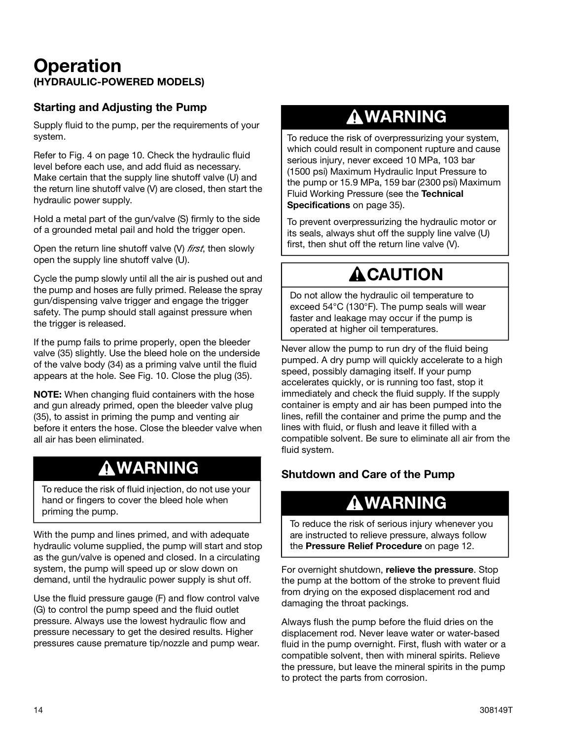### <span id="page-13-0"></span>**Operation (HYDRAULIC-POWERED MODELS)**

### **Starting and Adjusting the Pump**

Supply fluid to the pump, per the requirements of your system.

Refer to [Fig. 4](#page-9-0) on page [10](#page-9-0). Check the hydraulic fluid level before each use, and add fluid as necessary. Make certain that the supply line shutoff valve (U) and the return line shutoff valve (V) are closed, then start the hydraulic power supply.

Hold a metal part of the gun/valve (S) firmly to the side of a grounded metal pail and hold the trigger open.

Open the return line shutoff valve (V) *first*, then slowly open the supply line shutoff valve (U).

Cycle the pump slowly until all the air is pushed out and the pump and hoses are fully primed. Release the spray gun/dispensing valve trigger and engage the trigger safety. The pump should stall against pressure when the trigger is released.

If the pump fails to prime properly, open the bleeder valve (35) slightly. Use the bleed hole on the underside of the valve body (34) as a priming valve until the fluid appears at the hole. See [Fig. 10.](#page-20-0) Close the plug (35).

**NOTE:** When changing fluid containers with the hose and gun already primed, open the bleeder valve plug (35), to assist in priming the pump and venting air before it enters the hose. Close the bleeder valve when all air has been eliminated.

### **WARNING**

To reduce the risk of fluid injection, do not use your hand or fingers to cover the bleed hole when priming the pump.

With the pump and lines primed, and with adequate hydraulic volume supplied, the pump will start and stop as the gun/valve is opened and closed. In a circulating system, the pump will speed up or slow down on demand, until the hydraulic power supply is shut off.

Use the fluid pressure gauge (F) and flow control valve (G) to control the pump speed and the fluid outlet pressure. Always use the lowest hydraulic flow and pressure necessary to get the desired results. Higher pressures cause premature tip/nozzle and pump wear.

# **WARNING**

To reduce the risk of overpressurizing your system, which could result in component rupture and cause serious injury, never exceed 10 MPa, 103 bar (1500 psi) Maximum Hydraulic Input Pressure to the pump or 15.9 MPa, 159 bar (2300 psi) Maximum Fluid Working Pressure (see the **[Technical](#page-34-1)  [Specifications](#page-34-1)** on page [35](#page-34-1)).

To prevent overpressurizing the hydraulic motor or its seals, always shut off the supply line valve (U) first, then shut off the return line valve (V).

# **ACAUTION**

Do not allow the hydraulic oil temperature to exceed 54°C (130°F). The pump seals will wear faster and leakage may occur if the pump is operated at higher oil temperatures.

Never allow the pump to run dry of the fluid being pumped. A dry pump will quickly accelerate to a high speed, possibly damaging itself. If your pump accelerates quickly, or is running too fast, stop it immediately and check the fluid supply. If the supply container is empty and air has been pumped into the lines, refill the container and prime the pump and the lines with fluid, or flush and leave it filled with a compatible solvent. Be sure to eliminate all air from the fluid system.

### **Shutdown and Care of the Pump**

# **WARNING**

To reduce the risk of serious injury whenever you are instructed to relieve pressure, always follow the **[Pressure Relief Procedure](#page-11-1)** on page [12](#page-11-1).

For overnight shutdown, **relieve the pressure**. Stop the pump at the bottom of the stroke to prevent fluid from drying on the exposed displacement rod and damaging the throat packings.

Always flush the pump before the fluid dries on the displacement rod. Never leave water or water-based fluid in the pump overnight. First, flush with water or a compatible solvent, then with mineral spirits. Relieve the pressure, but leave the mineral spirits in the pump to protect the parts from corrosion.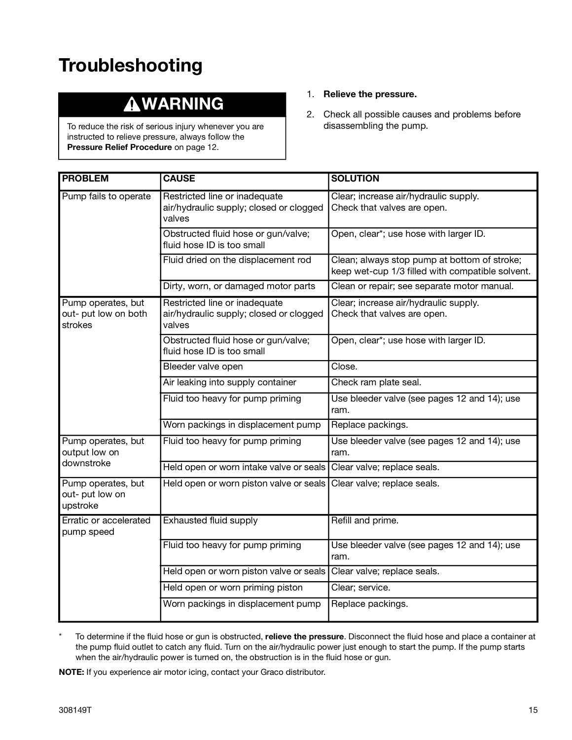# <span id="page-14-0"></span>**Troubleshooting**

### **WARNING**

To reduce the risk of serious injury whenever you are instructed to relieve pressure, always follow the **[Pressure Relief Procedure](#page-11-1)** on page [12.](#page-11-1)

- 1. **Relieve the pressure.**
- 2. Check all possible causes and problems before disassembling the pump.

| <b>PROBLEM</b>                                        | <b>CAUSE</b>                                                                       | <b>SOLUTION</b>                                                                                  |
|-------------------------------------------------------|------------------------------------------------------------------------------------|--------------------------------------------------------------------------------------------------|
| Pump fails to operate                                 | Restricted line or inadequate<br>air/hydraulic supply; closed or clogged<br>valves | Clear; increase air/hydraulic supply.<br>Check that valves are open.                             |
|                                                       | Obstructed fluid hose or gun/valve;<br>fluid hose ID is too small                  | Open, clear*; use hose with larger ID.                                                           |
|                                                       | Fluid dried on the displacement rod                                                | Clean; always stop pump at bottom of stroke;<br>keep wet-cup 1/3 filled with compatible solvent. |
|                                                       | Dirty, worn, or damaged motor parts                                                | Clean or repair; see separate motor manual.                                                      |
| Pump operates, but<br>out- put low on both<br>strokes | Restricted line or inadequate<br>air/hydraulic supply; closed or clogged<br>valves | Clear; increase air/hydraulic supply.<br>Check that valves are open.                             |
|                                                       | Obstructed fluid hose or gun/valve;<br>fluid hose ID is too small                  | Open, clear*; use hose with larger ID.                                                           |
|                                                       | Bleeder valve open                                                                 | Close.                                                                                           |
|                                                       | Air leaking into supply container                                                  | Check ram plate seal.                                                                            |
|                                                       | Fluid too heavy for pump priming                                                   | Use bleeder valve (see pages 12 and 14); use<br>ram.                                             |
|                                                       | Worn packings in displacement pump                                                 | Replace packings.                                                                                |
| Pump operates, but<br>output low on                   | Fluid too heavy for pump priming                                                   | Use bleeder valve (see pages 12 and 14); use<br>ram.                                             |
| downstroke                                            | Held open or worn intake valve or seals                                            | Clear valve; replace seals.                                                                      |
| Pump operates, but<br>out- put low on<br>upstroke     | Held open or worn piston valve or seals                                            | Clear valve; replace seals.                                                                      |
| Erratic or accelerated<br>pump speed                  | Exhausted fluid supply                                                             | Refill and prime.                                                                                |
|                                                       | Fluid too heavy for pump priming                                                   | Use bleeder valve (see pages 12 and 14); use<br>ram.                                             |
|                                                       | Held open or worn piston valve or seals                                            | Clear valve; replace seals.                                                                      |
|                                                       | Held open or worn priming piston                                                   | Clear; service.                                                                                  |
|                                                       | Worn packings in displacement pump                                                 | Replace packings.                                                                                |

\* To determine if the fluid hose or gun is obstructed, **relieve the pressure**. Disconnect the fluid hose and place a container at the pump fluid outlet to catch any fluid. Turn on the air/hydraulic power just enough to start the pump. If the pump starts when the air/hydraulic power is turned on, the obstruction is in the fluid hose or gun.

**NOTE:** If you experience air motor icing, contact your Graco distributor.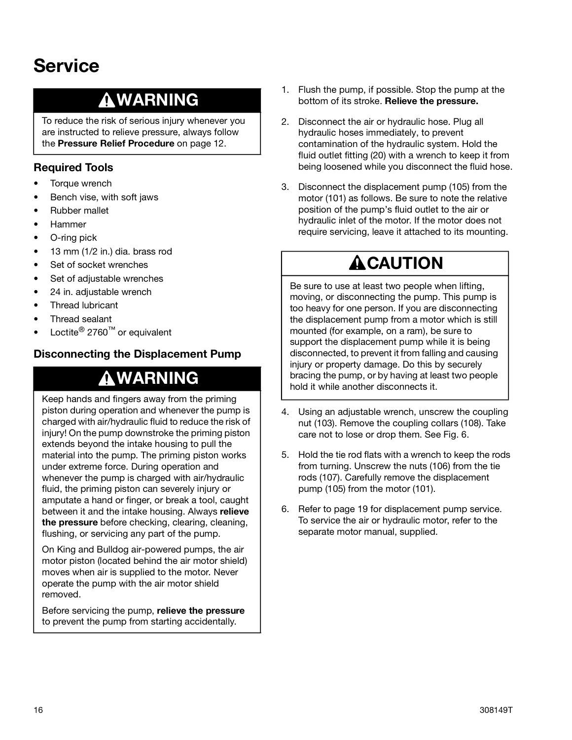### **WARNING**

<span id="page-15-0"></span>To reduce the risk of serious injury whenever you are instructed to relieve pressure, always follow the **[Pressure Relief Procedure](#page-11-1)** on page [12.](#page-11-1)

#### <span id="page-15-2"></span>**Required Tools**

- Torque wrench
- Bench vise, with soft jaws
- Rubber mallet
- Hammer
- O-ring pick
- 13 mm (1/2 in.) dia. brass rod
- Set of socket wrenches
- Set of adjustable wrenches
- 24 in. adjustable wrench
- Thread lubricant
- Thread sealant
- Loctite<sup>®</sup> 2760<sup>™</sup> or equivalent

#### <span id="page-15-1"></span>**Disconnecting the Displacement Pump**

### **WARNING**

Keep hands and fingers away from the priming piston during operation and whenever the pump is charged with air/hydraulic fluid to reduce the risk of injury! On the pump downstroke the priming piston extends beyond the intake housing to pull the material into the pump. The priming piston works under extreme force. During operation and whenever the pump is charged with air/hydraulic fluid, the priming piston can severely injury or amputate a hand or finger, or break a tool, caught between it and the intake housing. Always **relieve the pressure** before checking, clearing, cleaning, flushing, or servicing any part of the pump.

On King and Bulldog air-powered pumps, the air motor piston (located behind the air motor shield) moves when air is supplied to the motor. Never operate the pump with the air motor shield removed.

Before servicing the pump, **relieve the pressure**  to prevent the pump from starting accidentally.

- 1. Flush the pump, if possible. Stop the pump at the bottom of its stroke. **Relieve the pressure.**
- 2. Disconnect the air or hydraulic hose. Plug all hydraulic hoses immediately, to prevent contamination of the hydraulic system. Hold the fluid outlet fitting (20) with a wrench to keep it from being loosened while you disconnect the fluid hose.
- 3. Disconnect the displacement pump (105) from the motor (101) as follows. Be sure to note the relative position of the pump's fluid outlet to the air or hydraulic inlet of the motor. If the motor does not require servicing, leave it attached to its mounting.

# **ACAUTION**

Be sure to use at least two people when lifting, moving, or disconnecting the pump. This pump is too heavy for one person. If you are disconnecting the displacement pump from a motor which is still mounted (for example, on a ram), be sure to support the displacement pump while it is being disconnected, to prevent it from falling and causing injury or property damage. Do this by securely bracing the pump, or by having at least two people hold it while another disconnects it.

- 4. Using an adjustable wrench, unscrew the coupling nut (103). Remove the coupling collars (108). Take care not to lose or drop them. See [Fig. 6.](#page-16-0)
- 5. Hold the tie rod flats with a wrench to keep the rods from turning. Unscrew the nuts (106) from the tie rods (107). Carefully remove the displacement pump (105) from the motor (101).
- 6. Refer to page 19 for displacement pump service. To service the air or hydraulic motor, refer to the separate motor manual, supplied.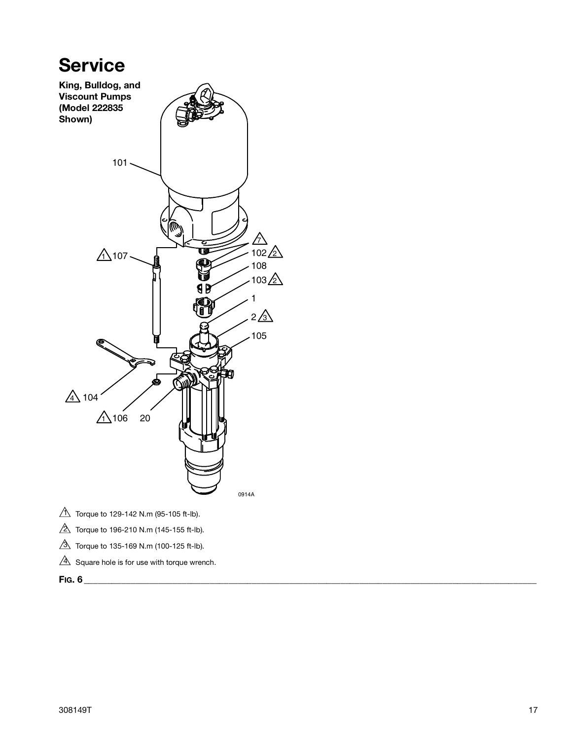<span id="page-16-0"></span>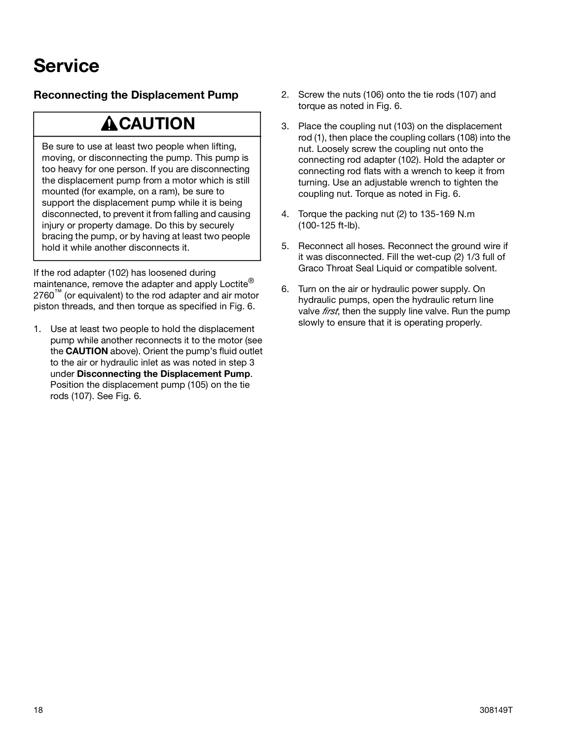#### <span id="page-17-0"></span>**Reconnecting the Displacement Pump**

### **ACAUTION**

Be sure to use at least two people when lifting, moving, or disconnecting the pump. This pump is too heavy for one person. If you are disconnecting the displacement pump from a motor which is still mounted (for example, on a ram), be sure to support the displacement pump while it is being disconnected, to prevent it from falling and causing injury or property damage. Do this by securely bracing the pump, or by having at least two people hold it while another disconnects it.

If the rod adapter (102) has loosened during maintenance, remove the adapter and apply Loctite<sup>®</sup>  $2760<sup>™</sup>$  (or equivalent) to the rod adapter and air motor piston threads, and then torque as specified in [Fig. 6](#page-16-0).

1. Use at least two people to hold the displacement pump while another reconnects it to the motor (see the **CAUTION** above). Orient the pump's fluid outlet to the air or hydraulic inlet as was noted in step 3 under **[Disconnecting the Displacement Pump](#page-15-1)**. Position the displacement pump (105) on the tie rods (107). See [Fig. 6.](#page-16-0)

- 2. Screw the nuts (106) onto the tie rods (107) and torque as noted in [Fig. 6.](#page-16-0)
- 3. Place the coupling nut (103) on the displacement rod (1), then place the coupling collars (108) into the nut. Loosely screw the coupling nut onto the connecting rod adapter (102). Hold the adapter or connecting rod flats with a wrench to keep it from turning. Use an adjustable wrench to tighten the coupling nut. Torque as noted in [Fig. 6.](#page-16-0)
- 4. Torque the packing nut (2) to 135-169 N.m (100-125 ft-lb).
- 5. Reconnect all hoses. Reconnect the ground wire if it was disconnected. Fill the wet-cup (2) 1/3 full of Graco Throat Seal Liquid or compatible solvent.
- 6. Turn on the air or hydraulic power supply. On hydraulic pumps, open the hydraulic return line valve *first*, then the supply line valve. Run the pump slowly to ensure that it is operating properly.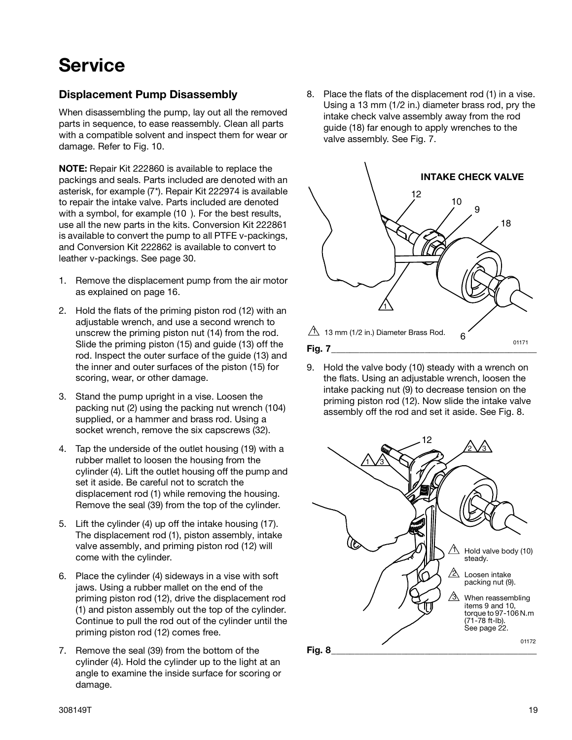#### **Displacement Pump Disassembly**

When disassembling the pump, lay out all the removed parts in sequence, to ease reassembly. Clean all parts with a compatible solvent and inspect them for wear or damage. Refer to [Fig. 10](#page-20-0).

**NOTE:** Repair Kit 222860 is available to replace the packings and seals. Parts included are denoted with an asterisk, for example (7\*). Repair Kit 222974 is available to repair the intake valve. Parts included are denoted with a symbol, for example (10 ). For the best results, use all the new parts in the kits. Conversion Kit 222861 is available to convert the pump to all PTFE v-packings, and Conversion Kit 222862 is available to convert to leather v-packings. See page [30](#page-29-0).

- 1. Remove the displacement pump from the air motor as explained on page [16](#page-15-2).
- 2. Hold the flats of the priming piston rod (12) with an adjustable wrench, and use a second wrench to unscrew the priming piston nut (14) from the rod. Slide the priming piston (15) and guide (13) off the rod. Inspect the outer surface of the guide (13) and the inner and outer surfaces of the piston (15) for scoring, wear, or other damage.
- 3. Stand the pump upright in a vise. Loosen the packing nut (2) using the packing nut wrench (104) supplied, or a hammer and brass rod. Using a socket wrench, remove the six capscrews (32).
- 4. Tap the underside of the outlet housing (19) with a rubber mallet to loosen the housing from the cylinder (4). Lift the outlet housing off the pump and set it aside. Be careful not to scratch the displacement rod (1) while removing the housing. Remove the seal (39) from the top of the cylinder.
- 5. Lift the cylinder (4) up off the intake housing (17). The displacement rod (1), piston assembly, intake valve assembly, and priming piston rod (12) will come with the cylinder.
- 6. Place the cylinder (4) sideways in a vise with soft jaws. Using a rubber mallet on the end of the priming piston rod (12), drive the displacement rod (1) and piston assembly out the top of the cylinder. Continue to pull the rod out of the cylinder until the priming piston rod (12) comes free.
- 7. Remove the seal (39) from the bottom of the cylinder (4). Hold the cylinder up to the light at an angle to examine the inside surface for scoring or damage.

8. Place the flats of the displacement rod (1) in a vise. Using a 13 mm (1/2 in.) diameter brass rod, pry the intake check valve assembly away from the rod guide (18) far enough to apply wrenches to the valve assembly. See [Fig. 7](#page-18-0).



<span id="page-18-0"></span>9. Hold the valve body (10) steady with a wrench on the flats. Using an adjustable wrench, loosen the intake packing nut (9) to decrease tension on the priming piston rod (12). Now slide the intake valve assembly off the rod and set it aside. See [Fig. 8.](#page-18-1)

<span id="page-18-1"></span>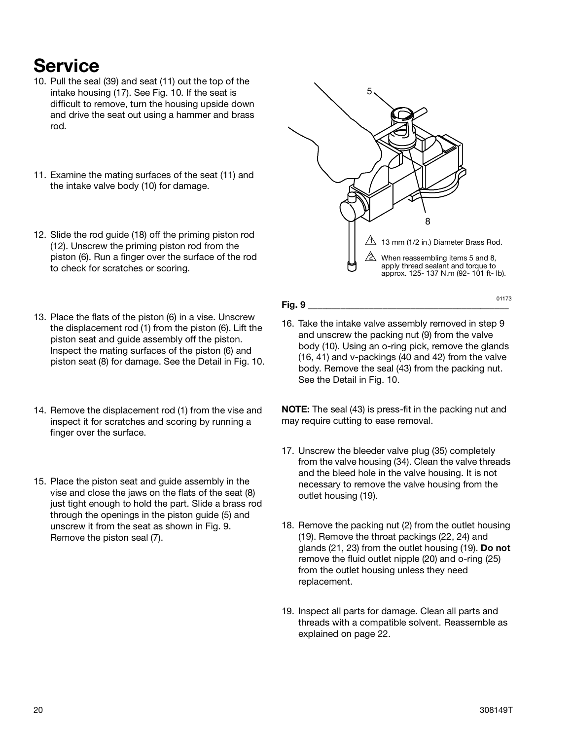- 10. Pull the seal (39) and seat (11) out the top of the intake housing (17). See [Fig. 10.](#page-20-0) If the seat is difficult to remove, turn the housing upside down and drive the seat out using a hammer and brass rod.
- 11. Examine the mating surfaces of the seat (11) and the intake valve body (10) for damage.
- 12. Slide the rod guide (18) off the priming piston rod (12). Unscrew the priming piston rod from the piston (6). Run a finger over the surface of the rod to check for scratches or scoring.
- 13. Place the flats of the piston (6) in a vise. Unscrew the displacement rod (1) from the piston (6). Lift the piston seat and guide assembly off the piston. Inspect the mating surfaces of the piston (6) and piston seat (8) for damage. See the Detail in [Fig. 10.](#page-20-0)
- 14. Remove the displacement rod (1) from the vise and inspect it for scratches and scoring by running a finger over the surface.
- 15. Place the piston seat and guide assembly in the vise and close the jaws on the flats of the seat (8) just tight enough to hold the part. Slide a brass rod through the openings in the piston guide (5) and unscrew it from the seat as shown in [Fig. 9.](#page-19-0) Remove the piston seal (7).

# 5 8 13 mm (1/2 in.) Diameter Brass Rod. When reassembling items 5 and 8, apply thread sealant and torque to approx. 125- 137 N.m (92- 101 ft- lb). 1 <u>A</u>

#### <span id="page-19-0"></span>**Fig. 9 \_\_\_\_\_\_\_\_\_\_\_\_\_\_\_\_\_\_\_\_\_\_\_\_\_\_\_\_\_\_\_\_\_\_\_\_\_\_\_\_\_\_\_**

16. Take the intake valve assembly removed in step 9 and unscrew the packing nut (9) from the valve body (10). Using an o-ring pick, remove the glands (16, 41) and v-packings (40 and 42) from the valve body. Remove the seal (43) from the packing nut. See the Detail in [Fig. 10](#page-20-0).

**NOTE:** The seal (43) is press-fit in the packing nut and may require cutting to ease removal.

- 17. Unscrew the bleeder valve plug (35) completely from the valve housing (34). Clean the valve threads and the bleed hole in the valve housing. It is not necessary to remove the valve housing from the outlet housing (19).
- 18. Remove the packing nut (2) from the outlet housing (19). Remove the throat packings (22, 24) and glands (21, 23) from the outlet housing (19). **Do not**  remove the fluid outlet nipple (20) and o-ring (25) from the outlet housing unless they need replacement.
- 19. Inspect all parts for damage. Clean all parts and threads with a compatible solvent. Reassemble as explained on page [22.](#page-21-0)

01173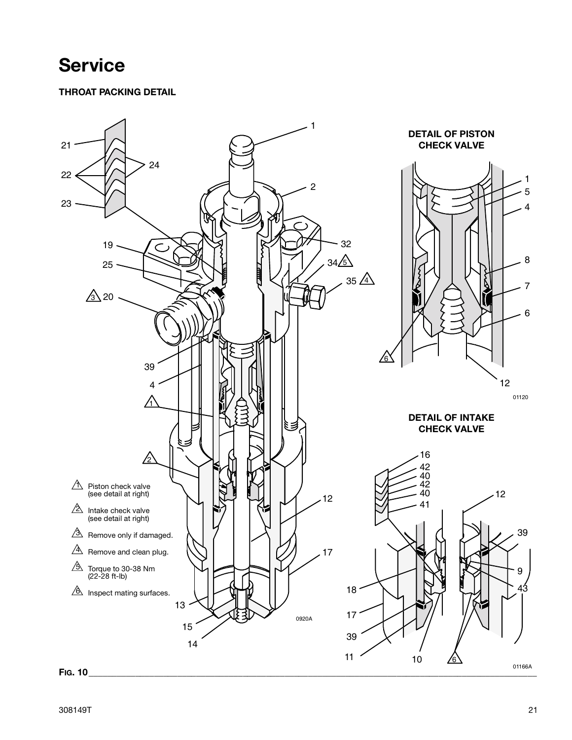#### **THROAT PACKING DETAIL**

<span id="page-20-0"></span>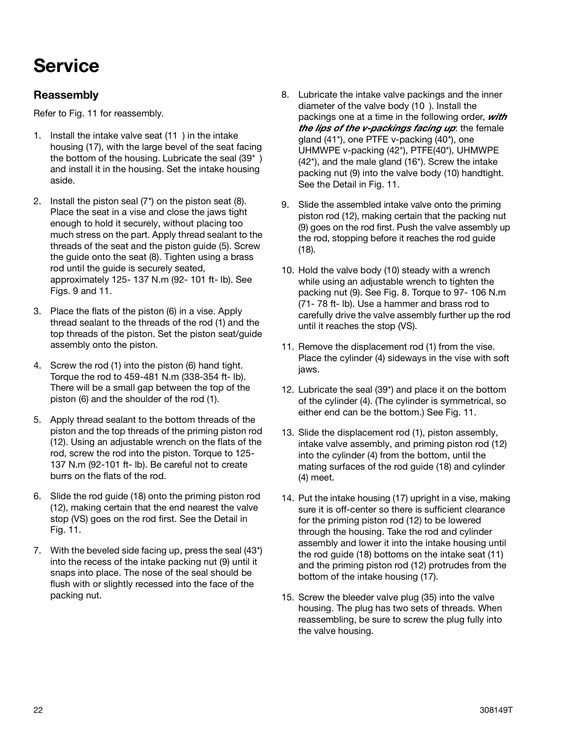### <span id="page-21-0"></span>**Reassembly**

Refer to [Fig. 11](#page-23-0) for reassembly.

- 1. Install the intake valve seat (11 ) in the intake housing (17), with the large bevel of the seat facing the bottom of the housing. Lubricate the seal (39\* ) and install it in the housing. Set the intake housing aside.
- 2. Install the piston seal (7\*) on the piston seat (8). Place the seat in a vise and close the jaws tight enough to hold it securely, without placing too much stress on the part. Apply thread sealant to the threads of the seat and the piston guide (5). Screw the guide onto the seat (8). Tighten using a brass rod until the guide is securely seated, approximately 125- 137 N.m (92- 101 ft- lb). See Figs. 9 and 11.
- 3. Place the flats of the piston (6) in a vise. Apply thread sealant to the threads of the rod (1) and the top threads of the piston. Set the piston seat/guide assembly onto the piston.
- 4. Screw the rod (1) into the piston (6) hand tight. Torque the rod to 459-481 N.m (338-354 ft- lb). There will be a small gap between the top of the piston (6) and the shoulder of the rod (1).
- 5. Apply thread sealant to the bottom threads of the piston and the top threads of the priming piston rod (12). Using an adjustable wrench on the flats of the rod, screw the rod into the piston. Torque to 125- 137 N.m (92-101 ft- lb). Be careful not to create burrs on the flats of the rod.
- 6. Slide the rod guide (18) onto the priming piston rod (12), making certain that the end nearest the valve stop (VS) goes on the rod first. See the Detail in [Fig. 11](#page-23-0).
- 7. With the beveled side facing up, press the seal (43\*) into the recess of the intake packing nut (9) until it snaps into place. The nose of the seal should be flush with or slightly recessed into the face of the packing nut.
- 8. Lubricate the intake valve packings and the inner diameter of the valve body (10 ). Install the packings one at a time in the following order, **with the lips of the v-packings facing up**: the female gland (41\*), one PTFE v-packing (40\*), one UHMWPE v-packing (42\*), PTFE(40\*), UHMWPE (42\*), and the male gland (16\*). Screw the intake packing nut (9) into the valve body (10) handtight. See the Detail in [Fig. 11](#page-23-0).
- 9. Slide the assembled intake valve onto the priming piston rod (12), making certain that the packing nut (9) goes on the rod first. Push the valve assembly up the rod, stopping before it reaches the rod guide (18).
- 10. Hold the valve body (10) steady with a wrench while using an adjustable wrench to tighten the packing nut (9). See [Fig. 8.](#page-18-1) Torque to 97- 106 N.m (71- 78 ft- lb). Use a hammer and brass rod to carefully drive the valve assembly further up the rod until it reaches the stop (VS).
- 11. Remove the displacement rod (1) from the vise. Place the cylinder (4) sideways in the vise with soft jaws.
- 12. Lubricate the seal (39\*) and place it on the bottom of the cylinder (4). (The cylinder is symmetrical, so either end can be the bottom.) See [Fig. 11.](#page-23-0)
- 13. Slide the displacement rod (1), piston assembly, intake valve assembly, and priming piston rod (12) into the cylinder (4) from the bottom, until the mating surfaces of the rod guide (18) and cylinder (4) meet.
- 14. Put the intake housing (17) upright in a vise, making sure it is off-center so there is sufficient clearance for the priming piston rod (12) to be lowered through the housing. Take the rod and cylinder assembly and lower it into the intake housing until the rod guide (18) bottoms on the intake seat (11) and the priming piston rod (12) protrudes from the bottom of the intake housing (17).
- 15. Screw the bleeder valve plug (35) into the valve housing. The plug has two sets of threads. When reassembling, be sure to screw the plug fully into the valve housing.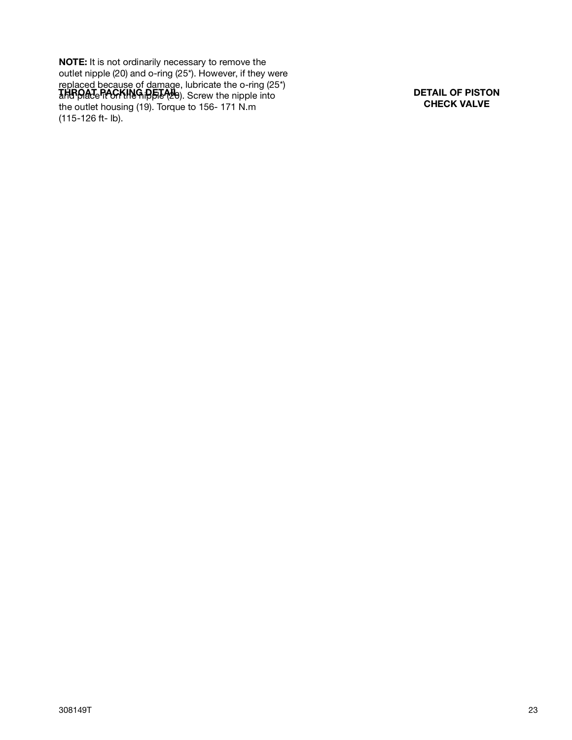**NOTE:** It is not ordinarily necessary to remove the outlet nipple (20) and o-ring (25\*). However, if they were replaced because of damage, lubricate the o-ring (25\*) **THROAT PACKING DETAIL OF PISTON** the outlet housing (19). Torque to 156- 171 N.m. (115-126 ft- lb).

**CHECK VALVE**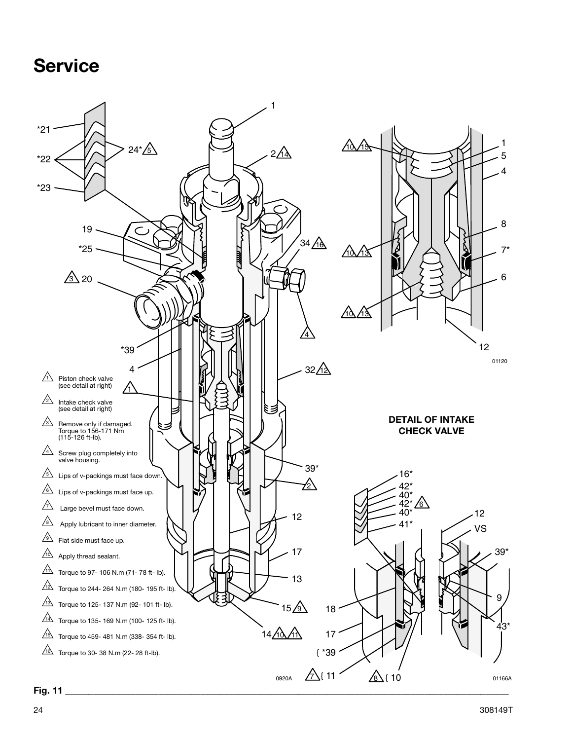

<span id="page-23-0"></span>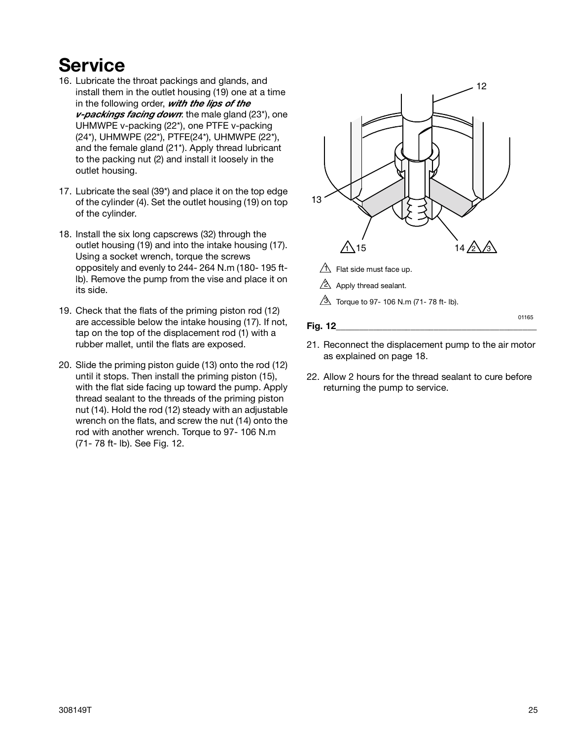- 16. Lubricate the throat packings and glands, and install them in the outlet housing (19) one at a time in the following order, **with the lips of the v-packings facing down**: the male gland (23\*), one UHMWPE v-packing (22\*), one PTFE v-packing (24\*), UHMWPE (22\*), PTFE(24\*), UHMWPE (22\*), and the female gland (21\*). Apply thread lubricant to the packing nut (2) and install it loosely in the outlet housing.
- 17. Lubricate the seal (39\*) and place it on the top edge of the cylinder (4). Set the outlet housing (19) on top of the cylinder.
- 18. Install the six long capscrews (32) through the outlet housing (19) and into the intake housing (17). Using a socket wrench, torque the screws oppositely and evenly to 244- 264 N.m (180- 195 ftlb). Remove the pump from the vise and place it on its side.
- 19. Check that the flats of the priming piston rod (12) are accessible below the intake housing (17). If not, tap on the top of the displacement rod (1) with a rubber mallet, until the flats are exposed.
- 20. Slide the priming piston guide (13) onto the rod (12) until it stops. Then install the priming piston (15), with the flat side facing up toward the pump. Apply thread sealant to the threads of the priming piston nut (14). Hold the rod (12) steady with an adjustable wrench on the flats, and screw the nut (14) onto the rod with another wrench. Torque to 97- 106 N.m (71- 78 ft- lb). See [Fig. 12.](#page-24-0)



- <span id="page-24-0"></span>21. Reconnect the displacement pump to the air motor as explained on page [18.](#page-17-0)
- 22. Allow 2 hours for the thread sealant to cure before returning the pump to service.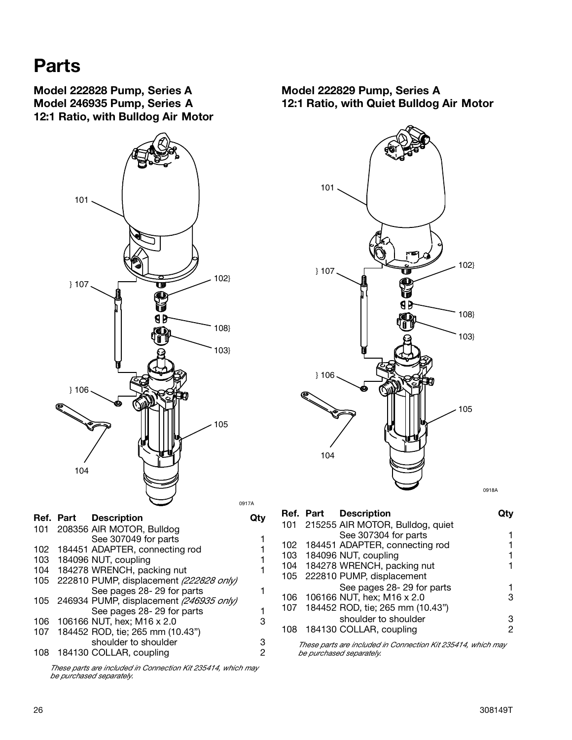# <span id="page-25-0"></span>**Parts**

#### **Model 222828 Pump, Series A Model 246935 Pump, Series A 12:1 Ratio, with Bulldog Air Motor**



#### 106 106166 NUT, hex; M16 x 2.0<br>107 184452 ROD, tie; 265 mm (10.43") 184452 ROD, tie; 265 mm (10.43") shoulder to shoulder  $\frac{3}{2}$ 108 184130 COLLAR, coupling 2

These parts are included in Connection Kit 235414, which may be purchased separately.

#### **Model 222829 Pump, Series A 12:1 Ratio, with Quiet Bulldog Air Motor**



|     | Ref. Part Description                |   |
|-----|--------------------------------------|---|
|     | 101 215255 AIR MOTOR, Bulldog, quiet |   |
|     | See 307304 for parts                 |   |
| 102 | 184451 ADAPTER, connecting rod       |   |
|     | 103 184096 NUT, coupling             |   |
|     | 104 184278 WRENCH, packing nut       |   |
| 105 | 222810 PUMP, displacement            |   |
|     | See pages 28-29 for parts            |   |
| 106 | 106166 NUT, hex; M16 x 2.0           | З |
| 107 | 184452 ROD, tie; 265 mm (10.43")     |   |
|     | shoulder to shoulder                 | З |
| 108 | 184130 COLLAR, coupling              | 2 |
|     |                                      |   |

These parts are included in Connection Kit 235414, which may be purchased separately.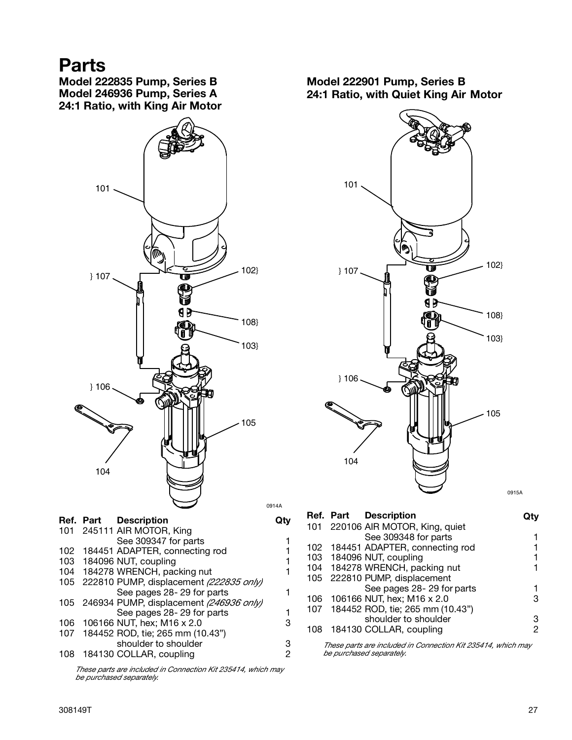### **Parts**

**Model 222835 Pump, Series B Model 246936 Pump, Series A 24:1 Ratio, with King Air Motor**



|     | ווסו. רפונ | <b>PESUIDUUI</b>                            | wuy |
|-----|------------|---------------------------------------------|-----|
|     |            | 101 245111 AIR MOTOR, King                  |     |
|     |            | See 309347 for parts                        | 1   |
| 102 |            | 184451 ADAPTER, connecting rod              |     |
|     |            | 103 184096 NUT, coupling                    | 1   |
|     |            | 104 184278 WRENCH, packing nut              | 1   |
|     |            | 105 222810 PUMP, displacement (222835 only) |     |
|     |            | See pages 28-29 for parts                   | 1   |
|     |            | 105 246934 PUMP, displacement (246936 only) |     |
|     |            | See pages 28-29 for parts                   | 1   |
|     |            | 106 106166 NUT, hex; M16 x 2.0              | 3   |
|     |            | 107 184452 ROD, tie; 265 mm (10.43")        |     |
|     |            | shoulder to shoulder                        | 3   |
|     |            | 108 184130 COLLAR, coupling                 | 2   |
|     |            |                                             |     |

0914A

These parts are included in Connection Kit 235414, which may be purchased separately.

#### **Model 222901 Pump, Series B 24:1 Ratio, with Quiet King Air Motor**



|  | Ref. Part Description                                        |   |
|--|--------------------------------------------------------------|---|
|  | 101 220106 AIR MOTOR, King, quiet                            |   |
|  | See 309348 for parts                                         |   |
|  | 102 184451 ADAPTER, connecting rod                           |   |
|  | 103 184096 NUT, coupling                                     |   |
|  | 104 184278 WRENCH, packing nut                               |   |
|  | 105 222810 PUMP, displacement                                |   |
|  | See pages 28-29 for parts                                    |   |
|  | 106 106166 NUT, hex; M16 x 2.0                               | З |
|  | 107 184452 ROD, tie; 265 mm (10.43")                         |   |
|  | shoulder to shoulder                                         | 3 |
|  | 108 184130 COLLAR, coupling                                  |   |
|  | These narts are included in Connection Kit 235414, which may |   |

ction Kit 235414, which maj be purchased separately.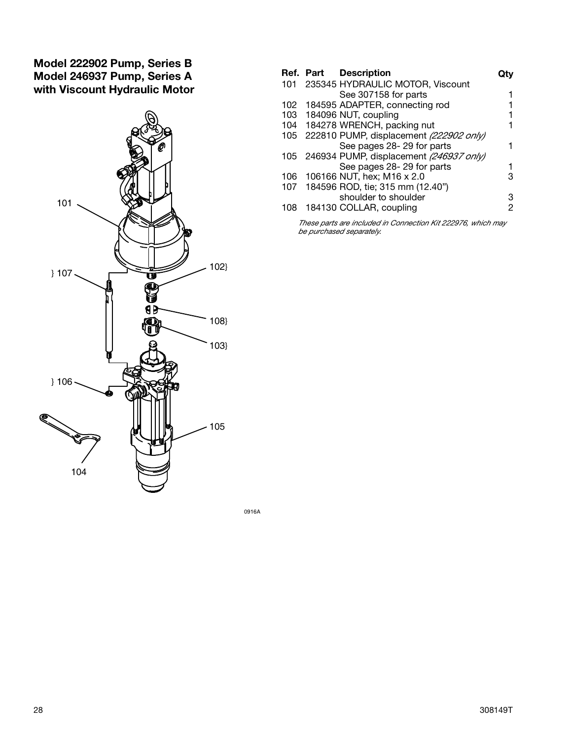#### **Model 222902 Pump, Series B Model 246937 Pump, Series A with Viscount Hydraulic Motor**



|     | <b>Ref. Part Description</b>                |   |
|-----|---------------------------------------------|---|
| 101 | 235345 HYDRAULIC MOTOR, Viscount            |   |
|     | See 307158 for parts                        |   |
|     | 102 184595 ADAPTER, connecting rod          |   |
|     | 103 184096 NUT, coupling                    |   |
|     | 104 184278 WRENCH, packing nut              |   |
| 105 | 222810 PUMP, displacement (222902 only)     |   |
|     | See pages 28-29 for parts                   |   |
|     | 105 246934 PUMP, displacement (246937 only) |   |
|     | See pages 28-29 for parts                   |   |
|     | 106 106166 NUT, hex; M16 x 2.0              | З |
| 107 | 184596 ROD, tie; 315 mm (12.40")            |   |
|     | shoulder to shoulder                        | 3 |
| 108 | 184130 COLLAR, coupling                     | 2 |
|     |                                             |   |

These parts are included in Connection Kit 222976, which may be purchased separately.

0916A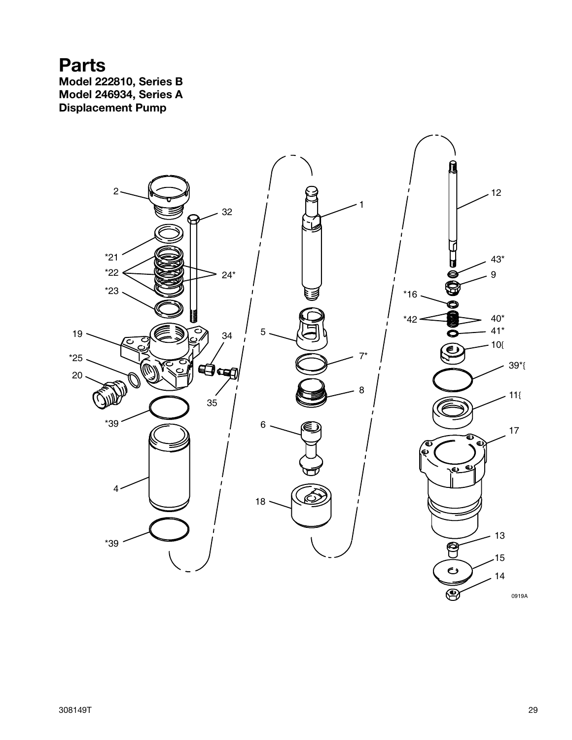**Parts Model 222810, Series B Model 246934, Series A Displacement Pump**



308149T 29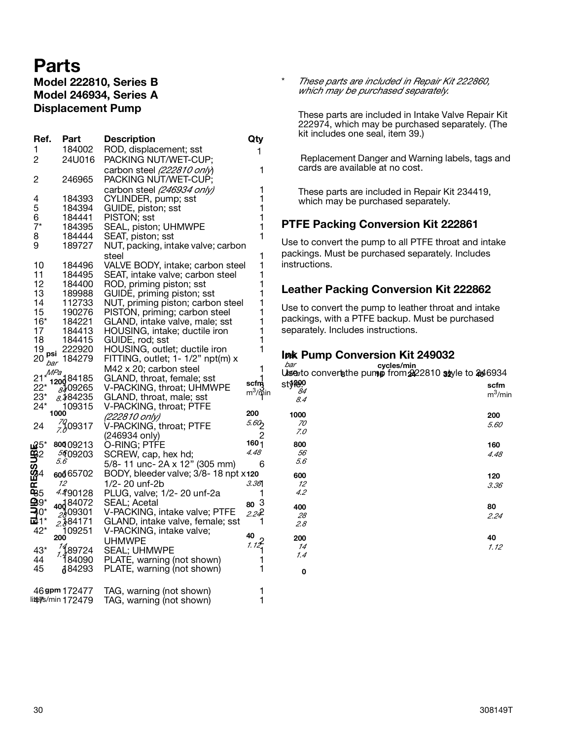# <span id="page-29-0"></span>**Parts**

#### **Model 222810, Series B Model 246934, Series A Displacement Pump**

| Ref.               | Part                      | <b>Description</b>                                                | Qty                         |
|--------------------|---------------------------|-------------------------------------------------------------------|-----------------------------|
| 1                  | 184002                    | ROD, displacement; sst                                            | 1                           |
| 2                  | 24U016                    | PACKING NUT/WET-CUP;                                              |                             |
| 2                  | 246965                    | carbon steel (222810 only)<br>PACKING NUT/WET-CUP;                | 1                           |
|                    |                           | carbon steel (246934 only)                                        | 1                           |
| 4<br>5             | 184393<br>184394          | CYLINDER, pump; sst                                               | 1<br>1                      |
| 6                  | 184441                    | GUIDE, piston; sst<br>PISTON: sst                                 | 1                           |
| $7^*$              | 184395                    | SEAL, piston; UHMWPE                                              | $\mathbf 1$                 |
| 8                  | 184444                    | SEAT, piston; sst                                                 | 1                           |
| 9                  | 189727                    | NUT, packing, intake valve; carbon                                |                             |
|                    |                           | steel                                                             | 1                           |
| 10                 | 184496                    | VALVE BODY, intake; carbon steel                                  | 1                           |
| 11<br>12           | 184495                    | SEAT, intake valve; carbon steel                                  | 1<br>$\mathbf 1$            |
| 13                 | 184400<br>189988          | ROD, priming piston; sst<br>GUIDE, priming piston; sst            | 1                           |
| 14                 | 112733                    | NUT, priming piston; carbon steel                                 | 1                           |
| 15                 | 190276                    | PISTON, priming; carbon steel                                     | 1                           |
| 16*                | 184221                    | GLAND, intake valve, male; sst                                    | 1                           |
| 17                 | 184413                    | HOUSING, intake; ductile iron                                     | 1                           |
| 18                 | 184415                    | GUIDE, rod; sst                                                   | 1                           |
| 19<br>$20^{2}$ psi | 222920<br>184279          | HOUSING, outlet; ductile iron                                     | 1                           |
|                    | bar                       | FITTING, outlet; 1- 1/2" npt(m) x<br>M42 x 20; carbon steel       | 1                           |
| $21 \times MPa$    | $22^*$ 1200 84185         | GLAND, throat, female; sst                                        |                             |
|                    |                           | V-PACKING, throat; UHMWPE                                         | scfmy                       |
| $23*$              | 8.484235                  | GLAND, throat, male; sst                                          | $m^3/\breve{\text{min}}$ in |
| 24*                | 109315<br>1000            | V-PACKING, throat; PTFE                                           | 200                         |
|                    |                           | (222810 only)                                                     | 5.60-                       |
| 24                 | $^{79}_{7,0}$ 09317       | V-PACKING, throat; PTFE                                           |                             |
| யீ5*               | 800 09213                 | (246934 only)<br>o-Ring; PTFE                                     | 1601                        |
| 92                 | 5409203                   | SCREW, cap, hex hd;                                               | 4.48                        |
|                    | 5.6                       | 5/8-11 unc-2A x 12" (305 mm)                                      | 6                           |
| ဖြိ4<br>மீ         | 60065702                  | BODY, bleeder valve; 3/8-18 npt x120                              |                             |
|                    | 12                        | 1/2- 20 unf-2b                                                    | 3.361                       |
| ⊕ვ                 | 4.490128                  | PLUG, valve; 1/2- 20 unf-2a                                       | 1                           |
| 9்9*               | 400 84072                 | SEAL; Acetal                                                      | -3<br>80                    |
| <b>∃</b> 0*<br>교1* | 2809301<br>84171ج         | V-PACKING, intake valve; PTFE<br>GLAND, intake valve, female; sst | 2.2P                        |
| 42*                | 109251                    | V-PACKING, intake valve;                                          |                             |
|                    | 200                       | <b>UHMWPE</b>                                                     | 40                          |
| $43*$              | <sup>1</sup> 189724       | SEAL; UHMWPE                                                      | 1.12                        |
| 44                 | 184090                    | PLATE, warning (not shown)                                        |                             |
| 45                 | 184293                    | PLATE, warning (not shown)                                        |                             |
|                    | 46gpm 172477              | TAG, warning (not shown)                                          | 1                           |
|                    | li <b>牮ア</b> s/min 172479 | TAG, warning (not shown)                                          | 1                           |

These parts are included in Repair Kit 222860, which may be purchased separately.

 These parts are included in Intake Valve Repair Kit 222974, which may be purchased separately. (The kit includes one seal, item 39.)

 Replacement Danger and Warning labels, tags and cards are available at no cost.

 These parts are included in Repair Kit 234419, which may be purchased separately.

#### **PTFE Packing Conversion Kit 222861**

Use to convert the pump to all PTFE throat and intake packings. Must be purchased separately. Includes instructions.

#### **Leather Packing Conversion Kit 222862**

Use to convert the pump to leather throat and intake packings, with a PTFE backup. Must be purchased separately. Includes instructions.

#### **Ink Pump Conversion Kit 249032 psi**

**0**

| bar                  | cycles/min                                         |                    |
|----------------------|----------------------------------------------------|--------------------|
|                      | Userto conversthe pump from 222810 style to 246934 |                    |
| sty1290<br>84<br>8.4 |                                                    | scfm<br>$m^3/m$ in |
| 1000                 |                                                    | 200                |
| 70<br>7.0            |                                                    | 5.60               |
| 800                  |                                                    | 160                |
| 56<br>5.6            |                                                    | 4.48               |
| 600                  |                                                    | 120                |
| 12<br>4.2            |                                                    | 3.36               |
| 400                  |                                                    | 80                 |
| 28                   |                                                    | 2.24               |
| 2.8                  |                                                    |                    |
| 200                  |                                                    | 40                 |
| 14<br>1.4            |                                                    | 1.12               |
|                      |                                                    |                    |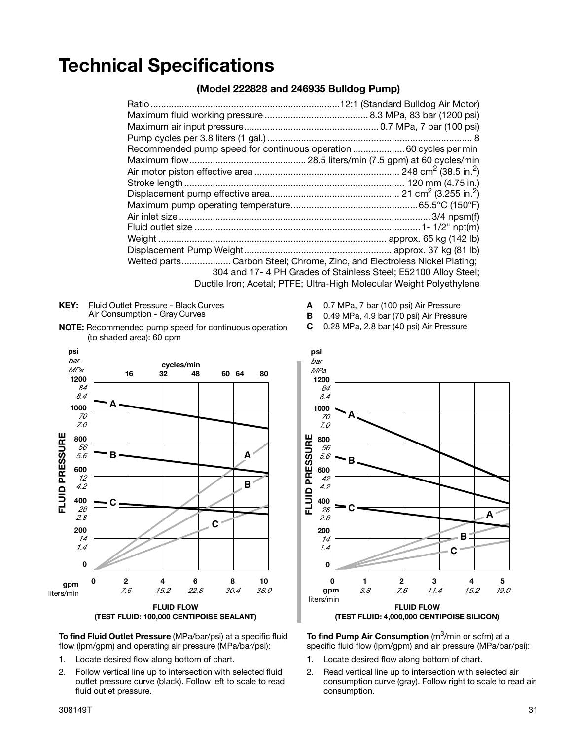#### **(Model 222828 and 246935 Bulldog Pump)**

<span id="page-30-1"></span><span id="page-30-0"></span>

| Recommended pump speed for continuous operation 60 cycles per min       |                                                                      |
|-------------------------------------------------------------------------|----------------------------------------------------------------------|
|                                                                         |                                                                      |
|                                                                         |                                                                      |
|                                                                         |                                                                      |
|                                                                         |                                                                      |
|                                                                         |                                                                      |
|                                                                         |                                                                      |
|                                                                         |                                                                      |
|                                                                         |                                                                      |
|                                                                         |                                                                      |
| Wetted partsCarbon Steel; Chrome, Zinc, and Electroless Nickel Plating; |                                                                      |
|                                                                         | 304 and 17-4 PH Grades of Stainless Steel; E52100 Alloy Steel;       |
|                                                                         | Ductile Iron; Acetal; PTFE; Ultra-High Molecular Weight Polyethylene |

**psi** bar

**KEY:** Fluid Outlet Pressure - Black Curves Air Consumption - Gray Curves

**NOTE:** Recommended pump speed for continuous operation

- **A** 0.7 MPa, 7 bar (100 psi) Air Pressure
- **B** 0.49 MPa, 4.9 bar (70 psi) Air Pressure
- **C** 0.28 MPa, 2.8 bar (40 psi) Air Pressure







**To find Fluid Outlet Pressure** (MPa/bar/psi) at a specific fluid flow (lpm/gpm) and operating air pressure (MPa/bar/psi):

- 1. Locate desired flow along bottom of chart.
- 2. Follow vertical line up to intersection with selected fluid outlet pressure curve (black). Follow left to scale to read fluid outlet pressure.



- 1. Locate desired flow along bottom of chart.
- 2. Read vertical line up to intersection with selected air consumption curve (gray). Follow right to scale to read air consumption.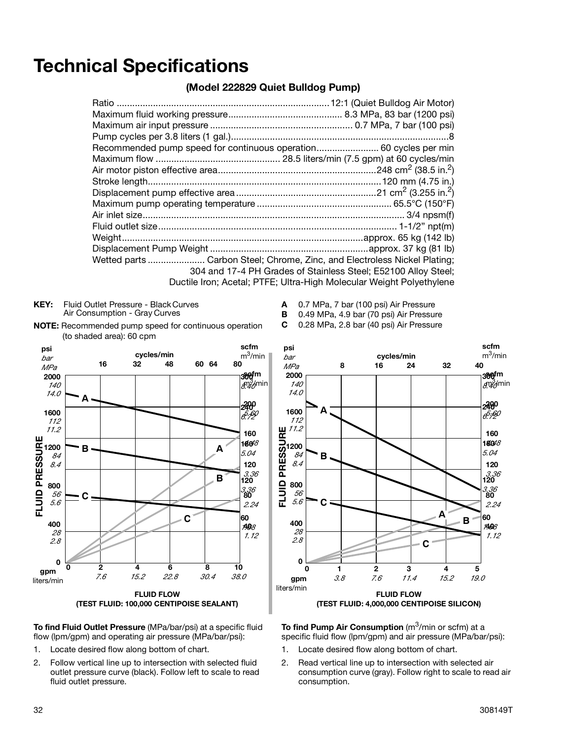#### **(Model 222829 Quiet Bulldog Pump)**

<span id="page-31-0"></span>

| Recommended pump speed for continuous operation 60 cycles per min         |                                                                                                                                        |
|---------------------------------------------------------------------------|----------------------------------------------------------------------------------------------------------------------------------------|
|                                                                           |                                                                                                                                        |
|                                                                           |                                                                                                                                        |
|                                                                           |                                                                                                                                        |
|                                                                           |                                                                                                                                        |
|                                                                           |                                                                                                                                        |
|                                                                           |                                                                                                                                        |
|                                                                           |                                                                                                                                        |
|                                                                           |                                                                                                                                        |
|                                                                           |                                                                                                                                        |
| Wetted parts  Carbon Steel; Chrome, Zinc, and Electroless Nickel Plating; | 304 and 17-4 PH Grades of Stainless Steel; E52100 Alloy Steel;<br>Ductile Iron; Acetal; PTFE; Ultra-High Molecular Weight Polyethylene |
|                                                                           |                                                                                                                                        |

**KEY:** Fluid Outlet Pressure - Black Curves Air Consumption - Gray Curves

- **A** 0.7 MPa, 7 bar (100 psi) Air Pressure
- **B** 0.49 MPa, 4.9 bar (70 psi) Air Pressure

**C** 0.28 MPa, 2.8 bar (40 psi) Air Pressure

**NOTE:** Recommended pump speed for continuous operation (to shaded area): 60 cpm



**To find Fluid Outlet Pressure** (MPa/bar/psi) at a specific fluid flow (lpm/gpm) and operating air pressure (MPa/bar/psi):

- 1. Locate desired flow along bottom of chart.
- 2. Follow vertical line up to intersection with selected fluid outlet pressure curve (black). Follow left to scale to read fluid outlet pressure.



**To find Pump Air Consumption** (m<sup>3</sup>/min or scfm) at a specific fluid flow (lpm/gpm) and air pressure (MPa/bar/psi):

- 1. Locate desired flow along bottom of chart.
- 2. Read vertical line up to intersection with selected air consumption curve (gray). Follow right to scale to read air consumption.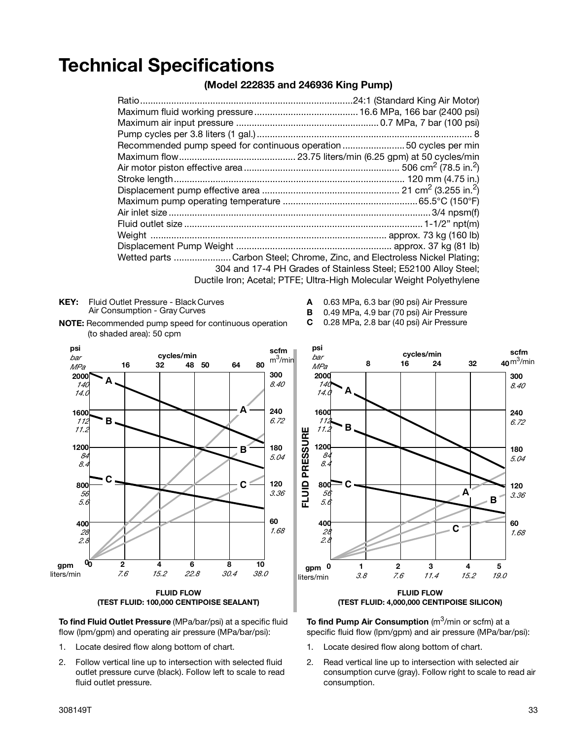#### **(Model 222835 and 246936 King Pump)**

<span id="page-32-0"></span>

| Recommended pump speed for continuous operation 50 cycles per min        |  |
|--------------------------------------------------------------------------|--|
|                                                                          |  |
|                                                                          |  |
|                                                                          |  |
|                                                                          |  |
|                                                                          |  |
|                                                                          |  |
|                                                                          |  |
|                                                                          |  |
|                                                                          |  |
| Wetted parts Carbon Steel; Chrome, Zinc, and Electroless Nickel Plating; |  |
| 304 and 17-4 PH Grades of Stainless Steel; E52100 Alloy Steel;           |  |
| Ductile Iron; Acetal; PTFE; Ultra-High Molecular Weight Polyethylene     |  |

**psi** bar

**KEY:** Fluid Outlet Pressure - Black Curves Air Consumption - Gray Curves

- **A** 0.63 MPa, 6.3 bar (90 psi) Air Pressure
- **B** 0.49 MPa, 4.9 bar (70 psi) Air Pressure

**C** 0.28 MPa, 2.8 bar (40 psi) Air Pressure



**NOTE:** Recommended pump speed for continuous operation



**cycles/min**

**(TEST FLUID: 4,000,000 CENTIPOISE SILICON)**

**To find Fluid Outlet Pressure** (MPa/bar/psi) at a specific fluid flow (lpm/gpm) and operating air pressure (MPa/bar/psi):

- 1. Locate desired flow along bottom of chart.
- 2. Follow vertical line up to intersection with selected fluid outlet pressure curve (black). Follow left to scale to read fluid outlet pressure.



- 1. Locate desired flow along bottom of chart.
- 2. Read vertical line up to intersection with selected air consumption curve (gray). Follow right to scale to read air consumption.

**scfm**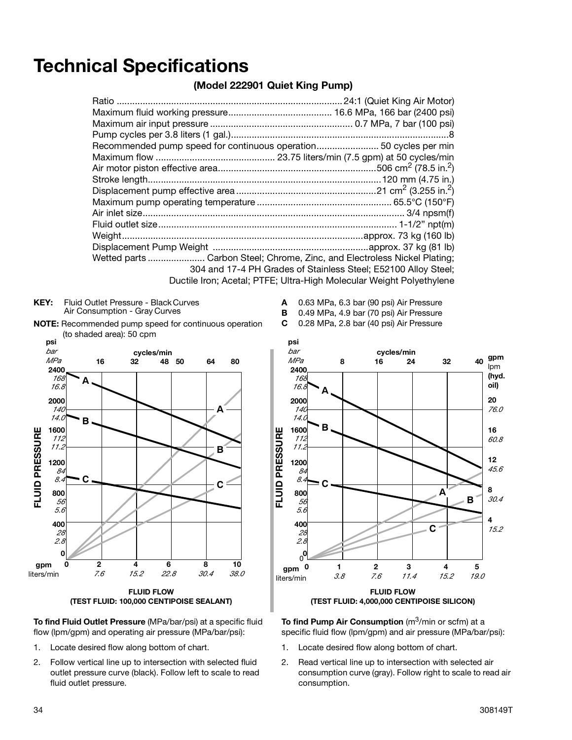#### **(Model 222901 Quiet King Pump)**

<span id="page-33-0"></span>

| Wetted parts  Carbon Steel; Chrome, Zinc, and Electroless Nickel Plating; |                                                                      |
|---------------------------------------------------------------------------|----------------------------------------------------------------------|
|                                                                           | 304 and 17-4 PH Grades of Stainless Steel; E52100 Alloy Steel;       |
|                                                                           | Ductile Iron; Acetal; PTFE; Ultra-High Molecular Weight Polyethylene |

- **KEY:** Fluid Outlet Pressure Black Curves Air Consumption - Gray Curves
- **NOTE:** Recommended pump speed for continuous operation (to shaded area): 50 cpm





**To find Fluid Outlet Pressure** (MPa/bar/psi) at a specific fluid flow (lpm/gpm) and operating air pressure (MPa/bar/psi):

- 1. Locate desired flow along bottom of chart.
- 2. Follow vertical line up to intersection with selected fluid outlet pressure curve (black). Follow left to scale to read fluid outlet pressure.
- **A** 0.63 MPa, 6.3 bar (90 psi) Air Pressure
- **B** 0.49 MPa, 4.9 bar (70 psi) Air Pressure





**To find Pump Air Consumption** (m<sup>3</sup>/min or scfm) at a specific fluid flow (lpm/gpm) and air pressure (MPa/bar/psi):

- 1. Locate desired flow along bottom of chart.
- 2. Read vertical line up to intersection with selected air consumption curve (gray). Follow right to scale to read air consumption.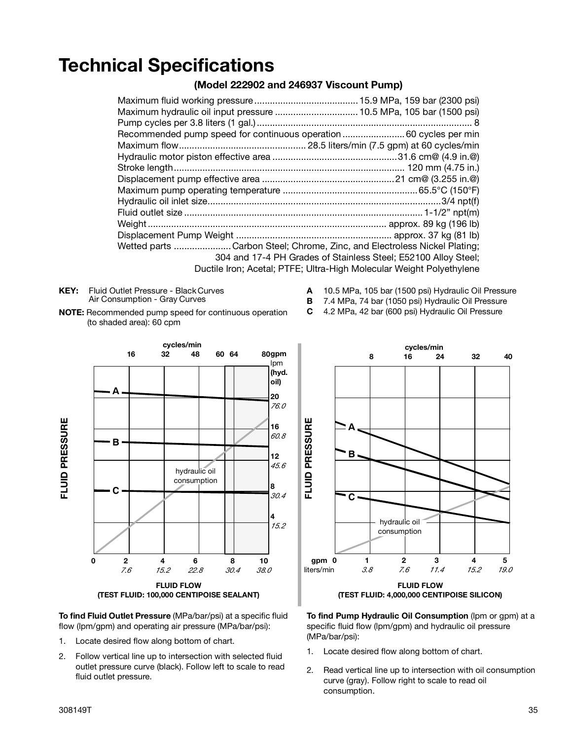#### **(Model 222902 and 246937 Viscount Pump)**

<span id="page-34-1"></span><span id="page-34-0"></span>

| Maximum hydraulic oil input pressure  10.5 MPa, 105 bar (1500 psi)       |                                                                      |
|--------------------------------------------------------------------------|----------------------------------------------------------------------|
|                                                                          |                                                                      |
| Recommended pump speed for continuous operation60 cycles per min         |                                                                      |
|                                                                          |                                                                      |
|                                                                          |                                                                      |
|                                                                          |                                                                      |
|                                                                          |                                                                      |
|                                                                          |                                                                      |
|                                                                          |                                                                      |
|                                                                          |                                                                      |
|                                                                          |                                                                      |
|                                                                          |                                                                      |
| Wetted parts Carbon Steel; Chrome, Zinc, and Electroless Nickel Plating; |                                                                      |
|                                                                          | 304 and 17-4 PH Grades of Stainless Steel; E52100 Alloy Steel;       |
|                                                                          | Ductile Iron; Acetal; PTFE; Ultra-High Molecular Weight Polyethylene |

- **KEY:** Fluid Outlet Pressure Black Curves Air Consumption - Gray Curves
- **NOTE:** Recommended pump speed for continuous operation (to shaded area): 60 cpm
- **cycles/min 16 32 48 60 64 80** 80gpm  $10$   $32$   $40$   $00$   $04$   $00$ lpm **(hyd. oil) A 20** 76.0 FLUID PRESSURE **FLUID PRESSURE 16** 60.8 **B 12** 45.6 hydraulic oil consumption **8 C** 30.4 **4** 15.2 **0 2 4 6 8 10** 0 2 4 6 8 10 7.6 15.2 22.8 30.4 38.0 **FLUID FLOW (TEST FLUID: 100,000 CENTIPOISE SEALANT)**

**To find Fluid Outlet Pressure** (MPa/bar/psi) at a specific fluid flow (lpm/gpm) and operating air pressure (MPa/bar/psi):

- 1. Locate desired flow along bottom of chart.
- 2. Follow vertical line up to intersection with selected fluid outlet pressure curve (black). Follow left to scale to read fluid outlet pressure.
- **A** 10.5 MPa, 105 bar (1500 psi) Hydraulic Oil Pressure
- **B** 7.4 MPa, 74 bar (1050 psi) Hydraulic Oil Pressure
- **C** 4.2 MPa, 42 bar (600 psi) Hydraulic Oil Pressure





**To find Pump Hydraulic Oil Consumption** (lpm or gpm) at a specific fluid flow (lpm/gpm) and hydraulic oil pressure (MPa/bar/psi):

- 1. Locate desired flow along bottom of chart.
- 2. Read vertical line up to intersection with oil consumption curve (gray). Follow right to scale to read oil consumption.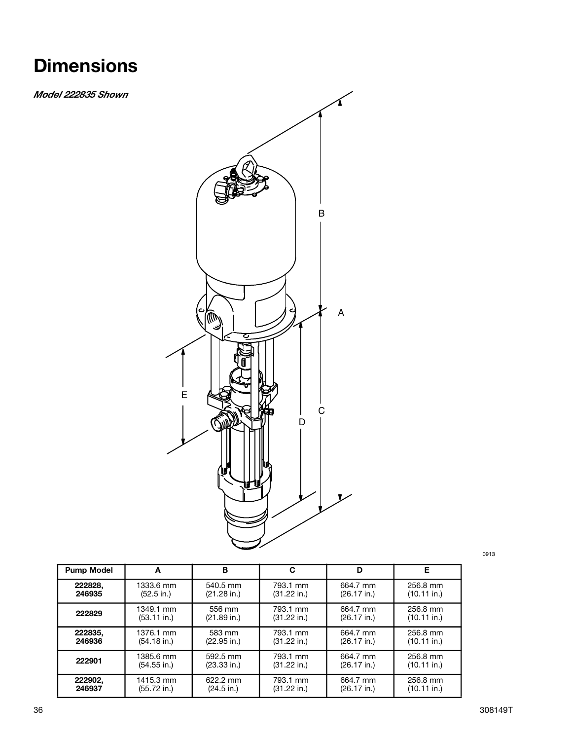# <span id="page-35-0"></span>**Dimensions**

**Model 222835 Shown**



0913

| <b>Pump Model</b> | A                     | в                     | C                     | D                     | Е                     |
|-------------------|-----------------------|-----------------------|-----------------------|-----------------------|-----------------------|
| 222828,           | 1333.6 mm             | 540.5 mm              | 793.1 mm              | 664.7 mm              | 256.8 mm              |
| 246935            | $(52.5 \text{ in.})$  | $(21.28$ in.)         | $(31.22 \text{ in.})$ | $(26.17 \text{ in.})$ | $(10.11 \text{ in.})$ |
| 222829            | 1349.1 mm             | 556 mm                | 793.1 mm              | 664.7 mm              | 256.8 mm              |
|                   | $(53.11 \text{ in.})$ | $(21.89$ in.)         | $(31.22$ in.)         | $(26.17 \text{ in.})$ | $(10.11 \text{ in.})$ |
| 222835,           | 1376.1 mm             | 583 mm                | 793.1 mm              | 664.7 mm              | 256.8 mm              |
| 246936            | (54.18 in.)           | $(22.95$ in.)         | $(31.22$ in.)         | $(26.17 \text{ in.})$ | $(10.11 \text{ in.})$ |
| 222901            | 1385.6 mm             | 592.5 mm              | 793.1 mm              | 664.7 mm              | 256.8 mm              |
|                   | (54.55 in.)           | $(23.33 \text{ in.})$ | $(31.22$ in.)         | (26.17 in.)           | $(10.11 \text{ in.})$ |
| 222902,           | 1415.3 mm             | 622.2 mm              | 793.1 mm              | 664.7 mm              | 256.8 mm              |
| 246937            | (55.72 in.)           | $(24.5 \text{ in.})$  | $(31.22$ in.)         | $(26.17 \text{ in.})$ | $(10.11 \text{ in.})$ |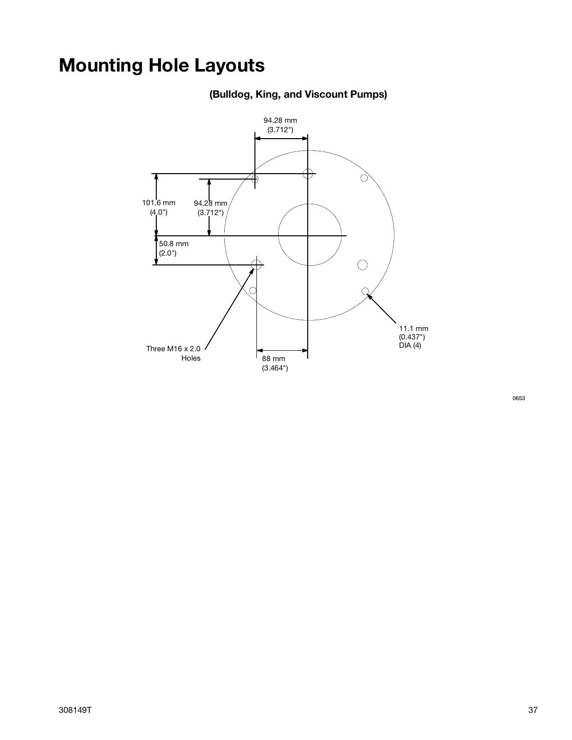# <span id="page-36-1"></span><span id="page-36-0"></span>**Mounting Hole Layouts**



#### **(Bulldog, King, and Viscount Pumps)**

0653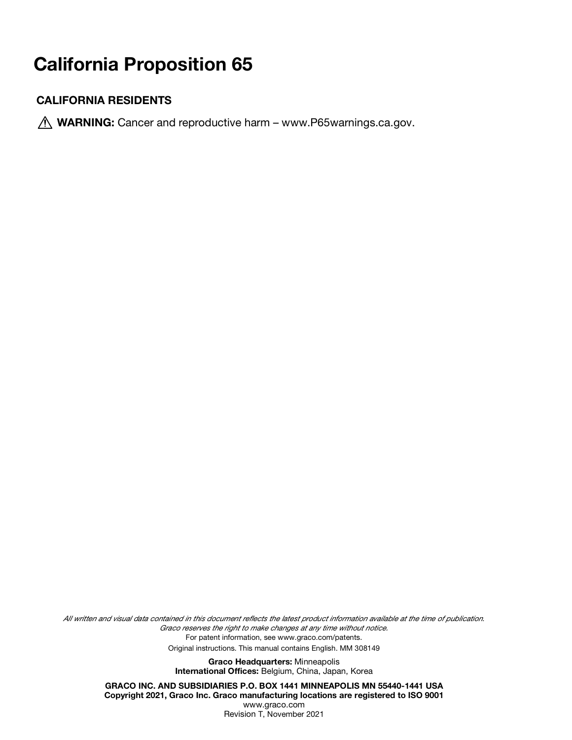# <span id="page-37-0"></span>**California Proposition 65**

### **CALIFORNIA RESIDENTS**

*A* WARNING: Cancer and reproductive harm – www.P65warnings.ca.gov.

All written and visual data contained in this document reflects the latest product information available at the time of publication. Graco reserves the right to make changes at any time without notice. For patent information, see www.graco.com/patents. Original instructions. This manual contains English. MM 308149

**Graco Headquarters:** Minneapolis **International Offices:** Belgium, China, Japan, Korea

**GRACO INC. AND SUBSIDIARIES P.O. BOX 1441 MINNEAPOLIS MN 55440-1441 USA Copyright 2021, Graco Inc. Graco manufacturing locations are registered to ISO 9001** www.graco.com

Revision T, November 2021